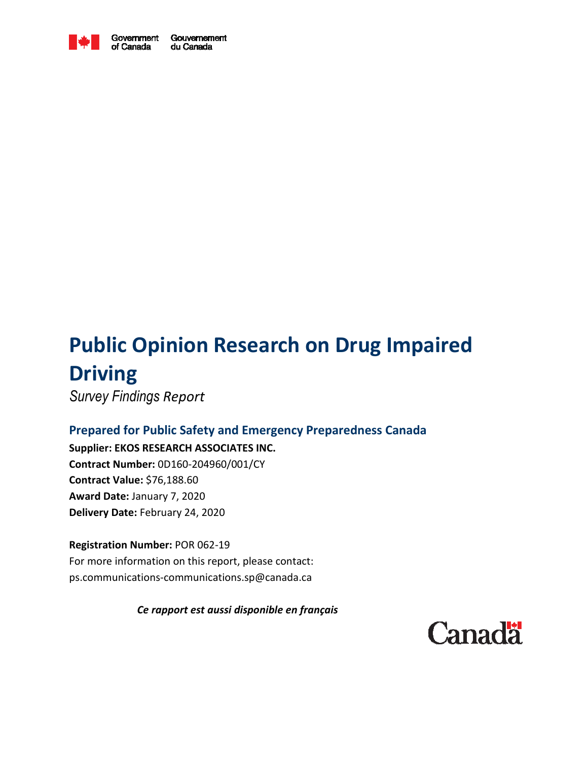

Government Gouvernement of Canada du Canada

# **Public Opinion Research on Drug Impaired Driving**

*Survey Findings Report* 

# **Prepared for Public Safety and Emergency Preparedness Canada**

**Supplier: EKOS RESEARCH ASSOCIATES INC. Contract Number:** 0D160-204960/001/CY **Contract Value:** \$76,188.60 **Award Date:** January 7, 2020 **Delivery Date:** February 24, 2020

**Registration Number:** POR 062-19 For more information on this report, please contact: ps.communications-communications.sp@canada.ca

*Ce rapport est aussi disponible en français* 

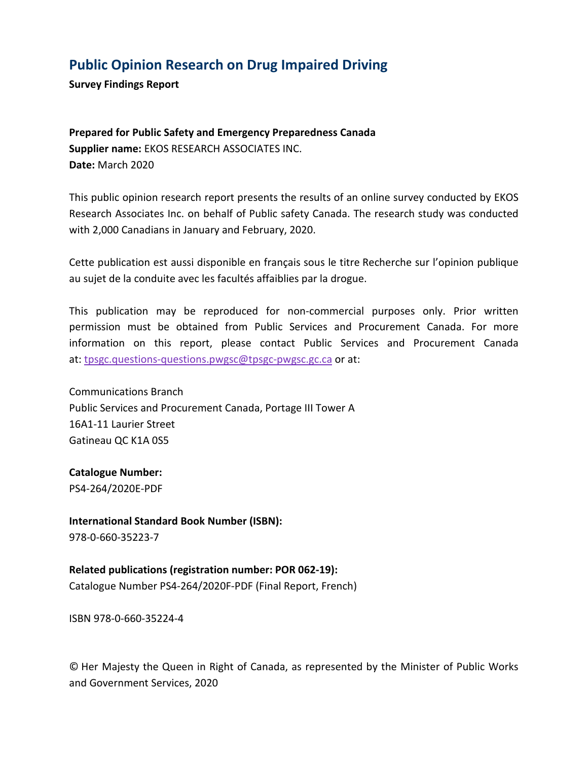# **Public Opinion Research on Drug Impaired Driving**

**Survey Findings Report** 

**Prepared for Public Safety and Emergency Preparedness Canada Supplier name:** EKOS RESEARCH ASSOCIATES INC. **Date:** March 2020

This public opinion research report presents the results of an online survey conducted by EKOS Research Associates Inc. on behalf of Public safety Canada. The research study was conducted with 2,000 Canadians in January and February, 2020.

Cette publication est aussi disponible en français sous le titre Recherche sur l'opinion publique au sujet de la conduite avec les facultés affaiblies par la drogue.

This publication may be reproduced for non-commercial purposes only. Prior written permission must be obtained from Public Services and Procurement Canada. For more information on this report, please contact Public Services and Procurement Canada at: tpsgc.questions-questions.pwgsc@tpsgc-pwgsc.gc.ca or at:

Communications Branch Public Services and Procurement Canada, Portage III Tower A 16A1-11 Laurier Street Gatineau QC K1A 0S5

**Catalogue Number:** PS4-264/2020E-PDF

**International Standard Book Number (ISBN):** 978-0-660-35223-7

**Related publications (registration number: POR 062-19):** Catalogue Number PS4-264/2020F-PDF (Final Report, French)

ISBN 978-0-660-35224-4

© Her Majesty the Queen in Right of Canada, as represented by the Minister of Public Works and Government Services, 2020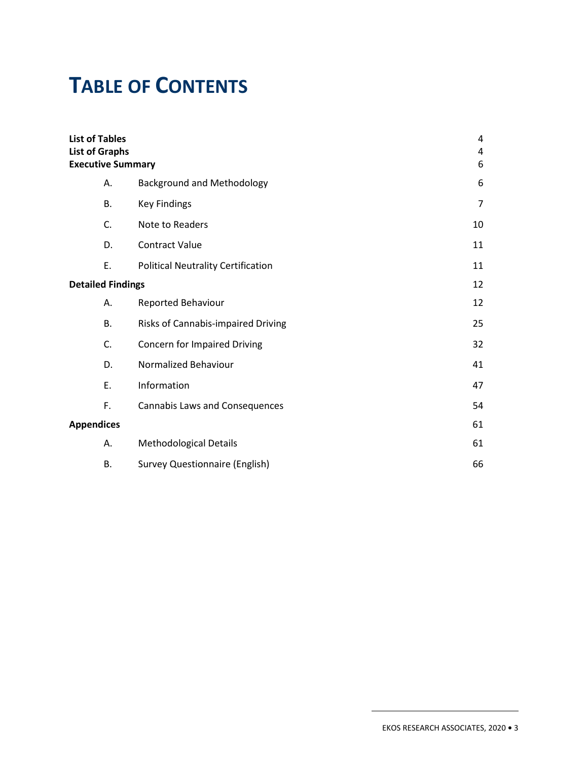# **TABLE OF CONTENTS**

| <b>List of Tables</b><br><b>List of Graphs</b><br><b>Executive Summary</b> |                                           | 4<br>$\overline{4}$<br>6 |
|----------------------------------------------------------------------------|-------------------------------------------|--------------------------|
| А.                                                                         | <b>Background and Methodology</b>         | 6                        |
| <b>B.</b>                                                                  | <b>Key Findings</b>                       | 7                        |
| C.                                                                         | Note to Readers                           | 10                       |
| D.                                                                         | <b>Contract Value</b>                     | 11                       |
| Ε.                                                                         | <b>Political Neutrality Certification</b> | 11                       |
| <b>Detailed Findings</b>                                                   |                                           | 12                       |
| Α.                                                                         | Reported Behaviour                        | 12                       |
| <b>B.</b>                                                                  | Risks of Cannabis-impaired Driving        | 25                       |
| C.                                                                         | <b>Concern for Impaired Driving</b>       | 32                       |
| D.                                                                         | Normalized Behaviour                      | 41                       |
| Ε.                                                                         | Information                               | 47                       |
| F.                                                                         | <b>Cannabis Laws and Consequences</b>     | 54                       |
| <b>Appendices</b>                                                          |                                           | 61                       |
| А.                                                                         | <b>Methodological Details</b>             | 61                       |
| В.                                                                         | <b>Survey Questionnaire (English)</b>     | 66                       |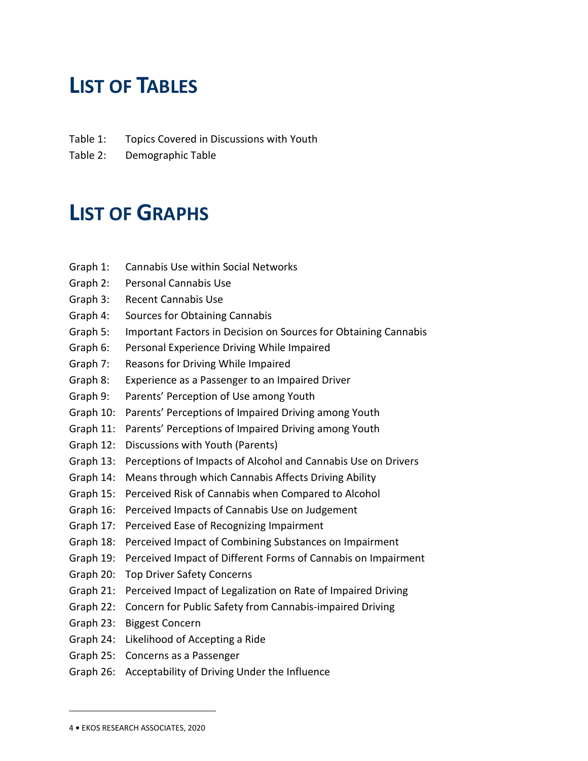# **LIST OF TABLES**

- Table 1: Topics Covered in Discussions with Youth
- Table 2: Demographic Table

# **LIST OF GRAPHS**

- Graph 1: Cannabis Use within Social Networks
- Graph 2: Personal Cannabis Use
- Graph 3: Recent Cannabis Use
- Graph 4: Sources for Obtaining Cannabis
- Graph 5: Important Factors in Decision on Sources for Obtaining Cannabis
- Graph 6: Personal Experience Driving While Impaired
- Graph 7: Reasons for Driving While Impaired
- Graph 8: Experience as a Passenger to an Impaired Driver
- Graph 9: Parents' Perception of Use among Youth
- Graph 10: Parents' Perceptions of Impaired Driving among Youth
- Graph 11: Parents' Perceptions of Impaired Driving among Youth
- Graph 12: Discussions with Youth (Parents)
- Graph 13: Perceptions of Impacts of Alcohol and Cannabis Use on Drivers
- Graph 14: Means through which Cannabis Affects Driving Ability
- Graph 15: Perceived Risk of Cannabis when Compared to Alcohol
- Graph 16: Perceived Impacts of Cannabis Use on Judgement
- Graph 17: Perceived Ease of Recognizing Impairment
- Graph 18: Perceived Impact of Combining Substances on Impairment
- Graph 19: Perceived Impact of Different Forms of Cannabis on Impairment
- Graph 20: Top Driver Safety Concerns
- Graph 21: Perceived Impact of Legalization on Rate of Impaired Driving
- Graph 22: Concern for Public Safety from Cannabis-impaired Driving
- Graph 23: Biggest Concern
- Graph 24: Likelihood of Accepting a Ride
- Graph 25: Concerns as a Passenger
- Graph 26: Acceptability of Driving Under the Influence

<sup>4</sup> **•** EKOS RESEARCH ASSOCIATES, 2020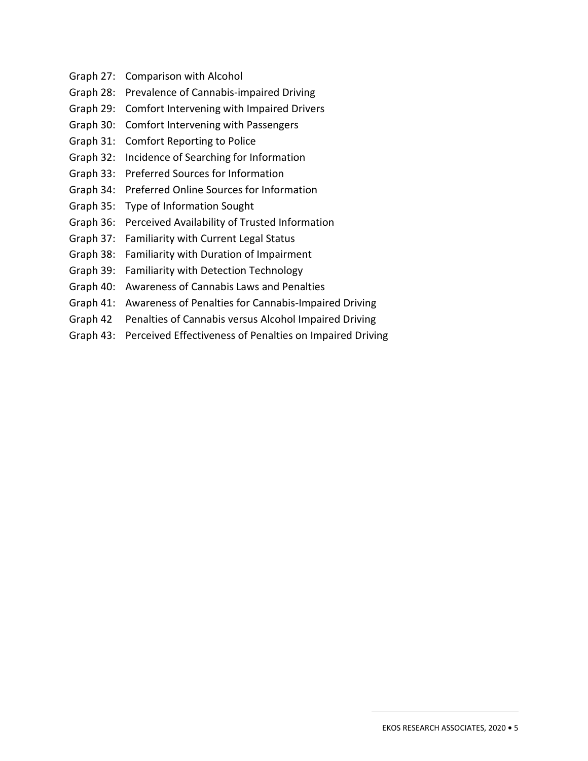- Graph 27: Comparison with Alcohol
- Graph 28: Prevalence of Cannabis-impaired Driving
- Graph 29: Comfort Intervening with Impaired Drivers
- Graph 30: Comfort Intervening with Passengers
- Graph 31: Comfort Reporting to Police
- Graph 32: Incidence of Searching for Information
- Graph 33: Preferred Sources for Information
- Graph 34: Preferred Online Sources for Information
- Graph 35: Type of Information Sought
- Graph 36: Perceived Availability of Trusted Information
- Graph 37: Familiarity with Current Legal Status
- Graph 38: Familiarity with Duration of Impairment
- Graph 39: Familiarity with Detection Technology
- Graph 40: Awareness of Cannabis Laws and Penalties
- Graph 41: Awareness of Penalties for Cannabis-Impaired Driving
- Graph 42 Penalties of Cannabis versus Alcohol Impaired Driving
- Graph 43: Perceived Effectiveness of Penalties on Impaired Driving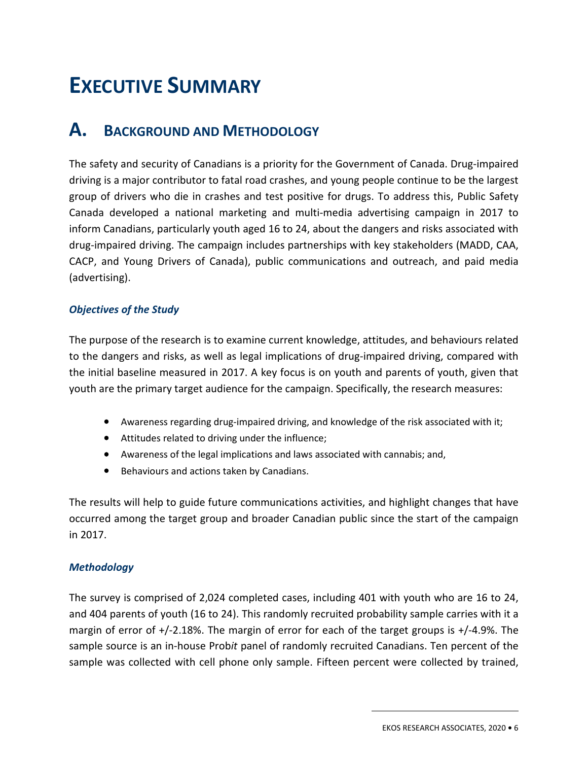# **EXECUTIVE SUMMARY**

# **A. BACKGROUND AND METHODOLOGY**

The safety and security of Canadians is a priority for the Government of Canada. Drug-impaired driving is a major contributor to fatal road crashes, and young people continue to be the largest group of drivers who die in crashes and test positive for drugs. To address this, Public Safety Canada developed a national marketing and multi-media advertising campaign in 2017 to inform Canadians, particularly youth aged 16 to 24, about the dangers and risks associated with drug-impaired driving. The campaign includes partnerships with key stakeholders (MADD, CAA, CACP, and Young Drivers of Canada), public communications and outreach, and paid media (advertising).

#### *Objectives of the Study*

The purpose of the research is to examine current knowledge, attitudes, and behaviours related to the dangers and risks, as well as legal implications of drug-impaired driving, compared with the initial baseline measured in 2017. A key focus is on youth and parents of youth, given that youth are the primary target audience for the campaign. Specifically, the research measures:

- Awareness regarding drug-impaired driving, and knowledge of the risk associated with it;
- Attitudes related to driving under the influence;
- Awareness of the legal implications and laws associated with cannabis; and,
- Behaviours and actions taken by Canadians.

The results will help to guide future communications activities, and highlight changes that have occurred among the target group and broader Canadian public since the start of the campaign in 2017.

#### *Methodology*

The survey is comprised of 2,024 completed cases, including 401 with youth who are 16 to 24, and 404 parents of youth (16 to 24). This randomly recruited probability sample carries with it a margin of error of +/-2.18%. The margin of error for each of the target groups is +/-4.9%. The sample source is an in-house Prob*it* panel of randomly recruited Canadians. Ten percent of the sample was collected with cell phone only sample. Fifteen percent were collected by trained,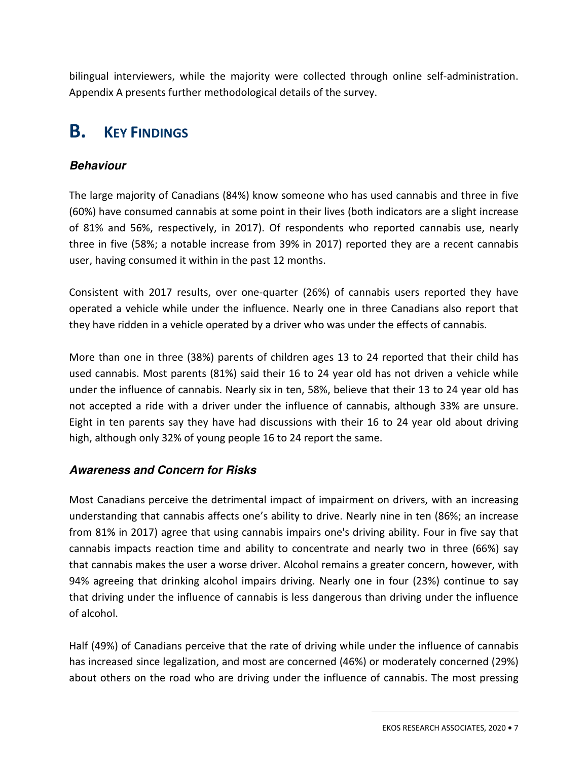bilingual interviewers, while the majority were collected through online self-administration. Appendix A presents further methodological details of the survey.

# **B. KEY FINDINGS**

## **Behaviour**

The large majority of Canadians (84%) know someone who has used cannabis and three in five (60%) have consumed cannabis at some point in their lives (both indicators are a slight increase of 81% and 56%, respectively, in 2017). Of respondents who reported cannabis use, nearly three in five (58%; a notable increase from 39% in 2017) reported they are a recent cannabis user, having consumed it within in the past 12 months.

Consistent with 2017 results, over one-quarter (26%) of cannabis users reported they have operated a vehicle while under the influence. Nearly one in three Canadians also report that they have ridden in a vehicle operated by a driver who was under the effects of cannabis.

More than one in three (38%) parents of children ages 13 to 24 reported that their child has used cannabis. Most parents (81%) said their 16 to 24 year old has not driven a vehicle while under the influence of cannabis. Nearly six in ten, 58%, believe that their 13 to 24 year old has not accepted a ride with a driver under the influence of cannabis, although 33% are unsure. Eight in ten parents say they have had discussions with their 16 to 24 year old about driving high, although only 32% of young people 16 to 24 report the same.

## **Awareness and Concern for Risks**

Most Canadians perceive the detrimental impact of impairment on drivers, with an increasing understanding that cannabis affects one's ability to drive. Nearly nine in ten (86%; an increase from 81% in 2017) agree that using cannabis impairs one's driving ability. Four in five say that cannabis impacts reaction time and ability to concentrate and nearly two in three (66%) say that cannabis makes the user a worse driver. Alcohol remains a greater concern, however, with 94% agreeing that drinking alcohol impairs driving. Nearly one in four (23%) continue to say that driving under the influence of cannabis is less dangerous than driving under the influence of alcohol.

Half (49%) of Canadians perceive that the rate of driving while under the influence of cannabis has increased since legalization, and most are concerned (46%) or moderately concerned (29%) about others on the road who are driving under the influence of cannabis. The most pressing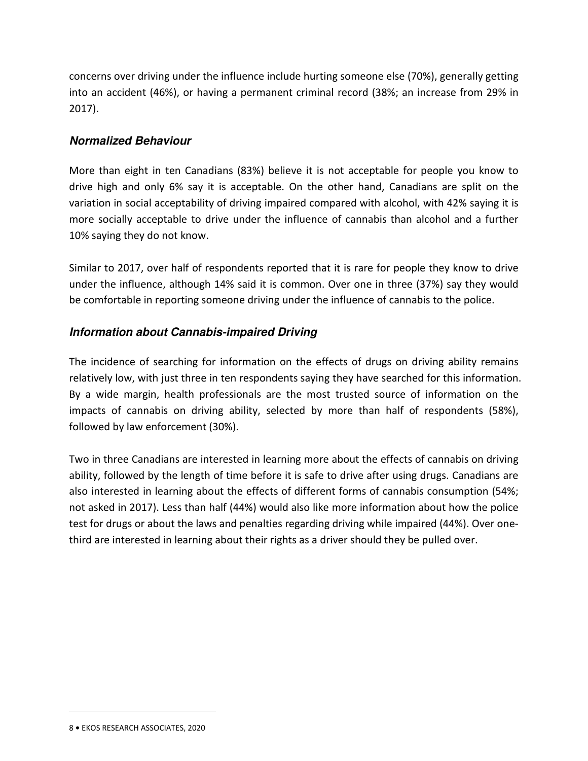concerns over driving under the influence include hurting someone else (70%), generally getting into an accident (46%), or having a permanent criminal record (38%; an increase from 29% in 2017).

## **Normalized Behaviour**

More than eight in ten Canadians (83%) believe it is not acceptable for people you know to drive high and only 6% say it is acceptable. On the other hand, Canadians are split on the variation in social acceptability of driving impaired compared with alcohol, with 42% saying it is more socially acceptable to drive under the influence of cannabis than alcohol and a further 10% saying they do not know.

Similar to 2017, over half of respondents reported that it is rare for people they know to drive under the influence, although 14% said it is common. Over one in three (37%) say they would be comfortable in reporting someone driving under the influence of cannabis to the police.

### **Information about Cannabis-impaired Driving**

The incidence of searching for information on the effects of drugs on driving ability remains relatively low, with just three in ten respondents saying they have searched for this information. By a wide margin, health professionals are the most trusted source of information on the impacts of cannabis on driving ability, selected by more than half of respondents (58%), followed by law enforcement (30%).

Two in three Canadians are interested in learning more about the effects of cannabis on driving ability, followed by the length of time before it is safe to drive after using drugs. Canadians are also interested in learning about the effects of different forms of cannabis consumption (54%; not asked in 2017). Less than half (44%) would also like more information about how the police test for drugs or about the laws and penalties regarding driving while impaired (44%). Over onethird are interested in learning about their rights as a driver should they be pulled over.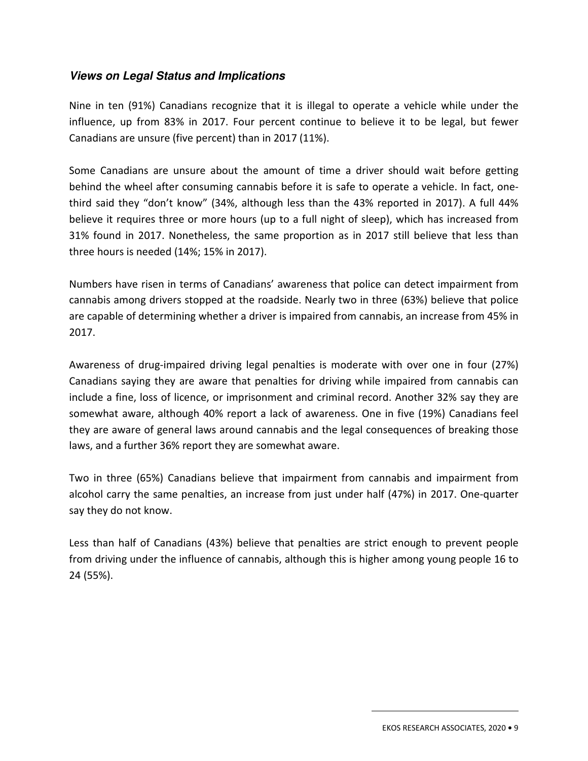### **Views on Legal Status and Implications**

Nine in ten (91%) Canadians recognize that it is illegal to operate a vehicle while under the influence, up from 83% in 2017. Four percent continue to believe it to be legal, but fewer Canadians are unsure (five percent) than in 2017 (11%).

Some Canadians are unsure about the amount of time a driver should wait before getting behind the wheel after consuming cannabis before it is safe to operate a vehicle. In fact, onethird said they "don't know" (34%, although less than the 43% reported in 2017). A full 44% believe it requires three or more hours (up to a full night of sleep), which has increased from 31% found in 2017. Nonetheless, the same proportion as in 2017 still believe that less than three hours is needed (14%; 15% in 2017).

Numbers have risen in terms of Canadians' awareness that police can detect impairment from cannabis among drivers stopped at the roadside. Nearly two in three (63%) believe that police are capable of determining whether a driver is impaired from cannabis, an increase from 45% in 2017.

Awareness of drug-impaired driving legal penalties is moderate with over one in four (27%) Canadians saying they are aware that penalties for driving while impaired from cannabis can include a fine, loss of licence, or imprisonment and criminal record. Another 32% say they are somewhat aware, although 40% report a lack of awareness. One in five (19%) Canadians feel they are aware of general laws around cannabis and the legal consequences of breaking those laws, and a further 36% report they are somewhat aware.

Two in three (65%) Canadians believe that impairment from cannabis and impairment from alcohol carry the same penalties, an increase from just under half (47%) in 2017. One-quarter say they do not know.

Less than half of Canadians (43%) believe that penalties are strict enough to prevent people from driving under the influence of cannabis, although this is higher among young people 16 to 24 (55%).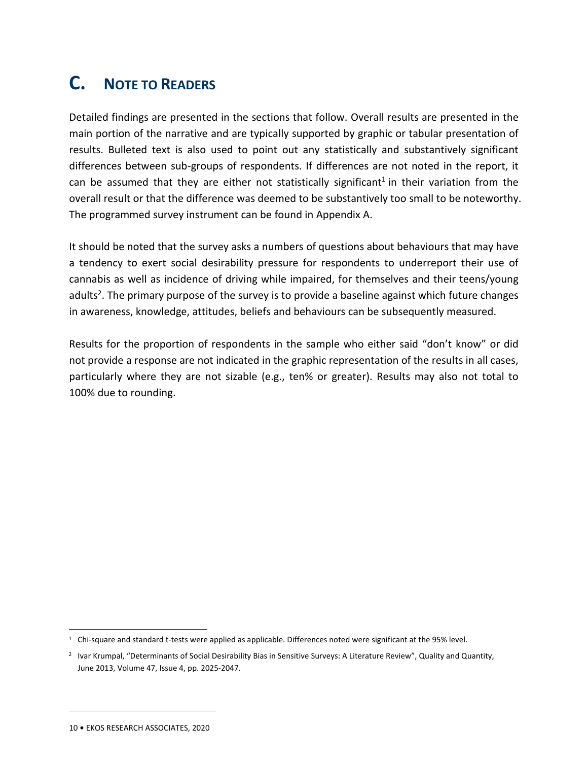# **C. NOTE TO READERS**

Detailed findings are presented in the sections that follow. Overall results are presented in the main portion of the narrative and are typically supported by graphic or tabular presentation of results. Bulleted text is also used to point out any statistically and substantively significant differences between sub-groups of respondents. If differences are not noted in the report, it can be assumed that they are either not statistically significant<sup>1</sup> in their variation from the overall result or that the difference was deemed to be substantively too small to be noteworthy. The programmed survey instrument can be found in Appendix A.

It should be noted that the survey asks a numbers of questions about behaviours that may have a tendency to exert social desirability pressure for respondents to underreport their use of cannabis as well as incidence of driving while impaired, for themselves and their teens/young adults<sup>2</sup>. The primary purpose of the survey is to provide a baseline against which future changes in awareness, knowledge, attitudes, beliefs and behaviours can be subsequently measured.

Results for the proportion of respondents in the sample who either said "don't know" or did not provide a response are not indicated in the graphic representation of the results in all cases, particularly where they are not sizable (e.g., ten% or greater). Results may also not total to 100% due to rounding.

<sup>&</sup>lt;sup>1</sup> Chi-square and standard t-tests were applied as applicable. Differences noted were significant at the 95% level.

<sup>&</sup>lt;sup>2</sup> Ivar Krumpal, "Determinants of Social Desirability Bias in Sensitive Surveys: A Literature Review", Quality and Quantity, June 2013, Volume 47, Issue 4, pp. 2025-2047.

<sup>10</sup> **•** EKOS RESEARCH ASSOCIATES, 2020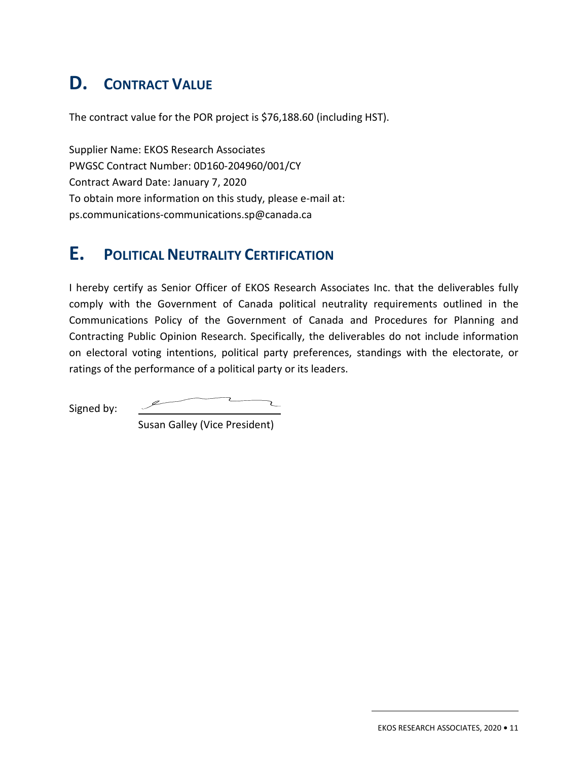# **D. CONTRACT VALUE**

The contract value for the POR project is \$76,188.60 (including HST).

Supplier Name: EKOS Research Associates PWGSC Contract Number: 0D160-204960/001/CY Contract Award Date: January 7, 2020 To obtain more information on this study, please e-mail at: ps.communications-communications.sp@canada.ca

# **E. POLITICAL NEUTRALITY CERTIFICATION**

I hereby certify as Senior Officer of EKOS Research Associates Inc. that the deliverables fully comply with the Government of Canada political neutrality requirements outlined in the Communications Policy of the Government of Canada and Procedures for Planning and Contracting Public Opinion Research. Specifically, the deliverables do not include information on electoral voting intentions, political party preferences, standings with the electorate, or ratings of the performance of a political party or its leaders.

Signed by:

Susan Galley (Vice President)

EKOS RESEARCH ASSOCIATES, 2020 **•** 11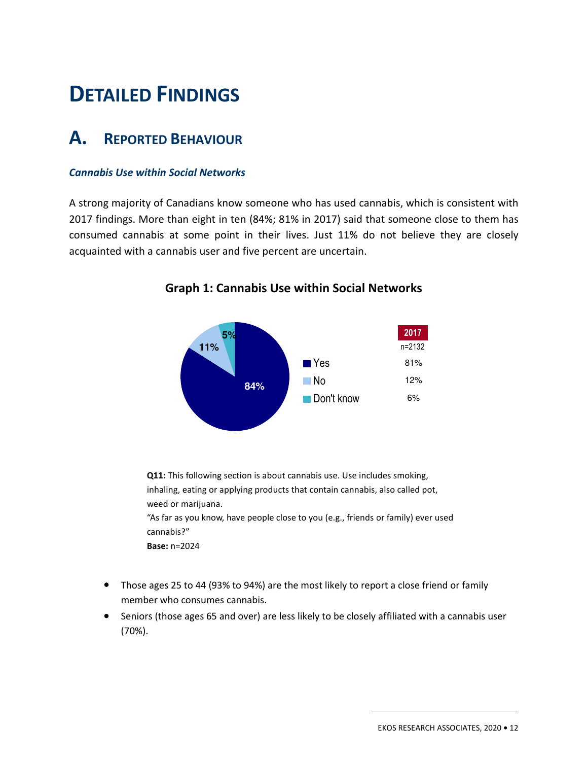# 2. **DETAILED FINDINGS**

# **A. REPORTED BEHAVIOUR**

#### *Cannabis Use within Social Networks*

A strong majority of Canadians know someone who has used cannabis, which is consistent with 2017 findings. More than eight in ten (84%; 81% in 2017) said that someone close to them has consumed cannabis at some point in their lives. Just 11% do not believe they are closely acquainted with a cannabis user and five percent are uncertain.



**Graph 1: Cannabis Use within Social Networks** 

**Q11:** This following section is about cannabis use. Use includes smoking, inhaling, eating or applying products that contain cannabis, also called pot, weed or marijuana. "As far as you know, have people close to you (e.g., friends or family) ever used

cannabis?"

**Base:** n=2024

- Those ages 25 to 44 (93% to 94%) are the most likely to report a close friend or family member who consumes cannabis.
- Seniors (those ages 65 and over) are less likely to be closely affiliated with a cannabis user (70%).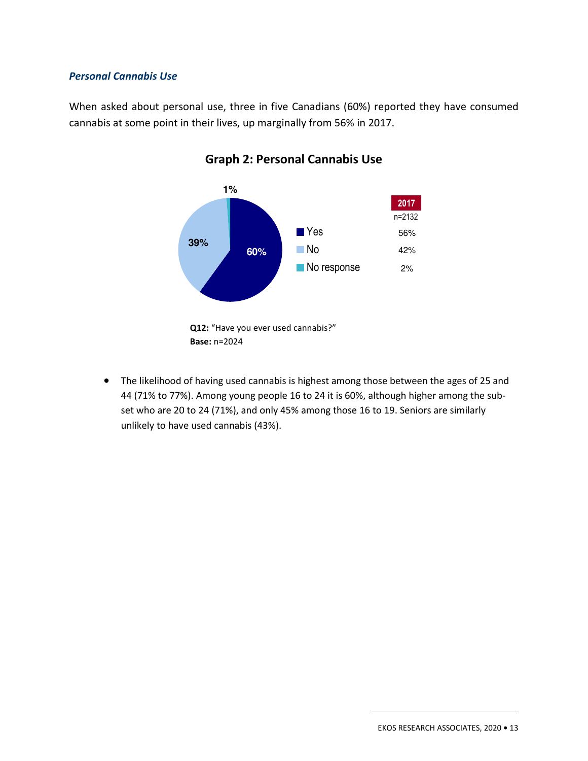#### *Personal Cannabis Use*

When asked about personal use, three in five Canadians (60%) reported they have consumed cannabis at some point in their lives, up marginally from 56% in 2017.



## **Graph 2: Personal Cannabis Use**

• The likelihood of having used cannabis is highest among those between the ages of 25 and 44 (71% to 77%). Among young people 16 to 24 it is 60%, although higher among the subset who are 20 to 24 (71%), and only 45% among those 16 to 19. Seniors are similarly unlikely to have used cannabis (43%).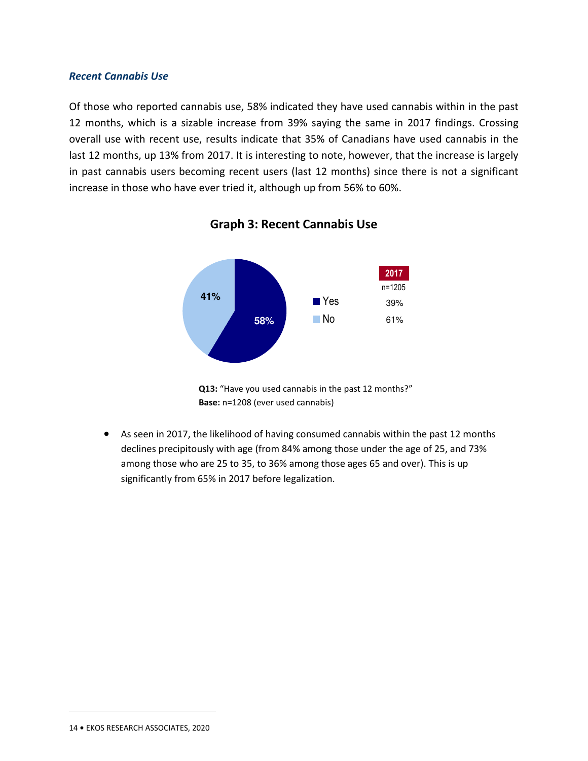#### *Recent Cannabis Use*

Of those who reported cannabis use, 58% indicated they have used cannabis within in the past 12 months, which is a sizable increase from 39% saying the same in 2017 findings. Crossing overall use with recent use, results indicate that 35% of Canadians have used cannabis in the last 12 months, up 13% from 2017. It is interesting to note, however, that the increase is largely in past cannabis users becoming recent users (last 12 months) since there is not a significant increase in those who have ever tried it, although up from 56% to 60%.



**Graph 3: Recent Cannabis Use** 

• As seen in 2017, the likelihood of having consumed cannabis within the past 12 months declines precipitously with age (from 84% among those under the age of 25, and 73% among those who are 25 to 35, to 36% among those ages 65 and over). This is up significantly from 65% in 2017 before legalization.

**Q13:** "Have you used cannabis in the past 12 months?" **Base:** n=1208 (ever used cannabis)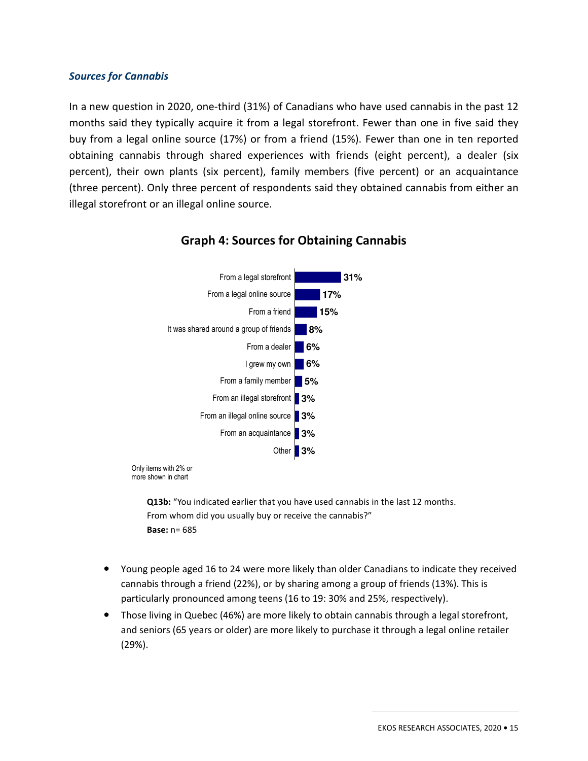#### *Sources for Cannabis*

In a new question in 2020, one-third (31%) of Canadians who have used cannabis in the past 12 months said they typically acquire it from a legal storefront. Fewer than one in five said they buy from a legal online source (17%) or from a friend (15%). Fewer than one in ten reported obtaining cannabis through shared experiences with friends (eight percent), a dealer (six percent), their own plants (six percent), family members (five percent) or an acquaintance (three percent). Only three percent of respondents said they obtained cannabis from either an illegal storefront or an illegal online source.



### **Graph 4: Sources for Obtaining Cannabis**

Only items with 2% or more shown in chart

> **Q13b:** "You indicated earlier that you have used cannabis in the last 12 months. From whom did you usually buy or receive the cannabis?" **Base:** n= 685

- Young people aged 16 to 24 were more likely than older Canadians to indicate they received cannabis through a friend (22%), or by sharing among a group of friends (13%). This is particularly pronounced among teens (16 to 19: 30% and 25%, respectively).
- Those living in Quebec (46%) are more likely to obtain cannabis through a legal storefront, and seniors (65 years or older) are more likely to purchase it through a legal online retailer (29%).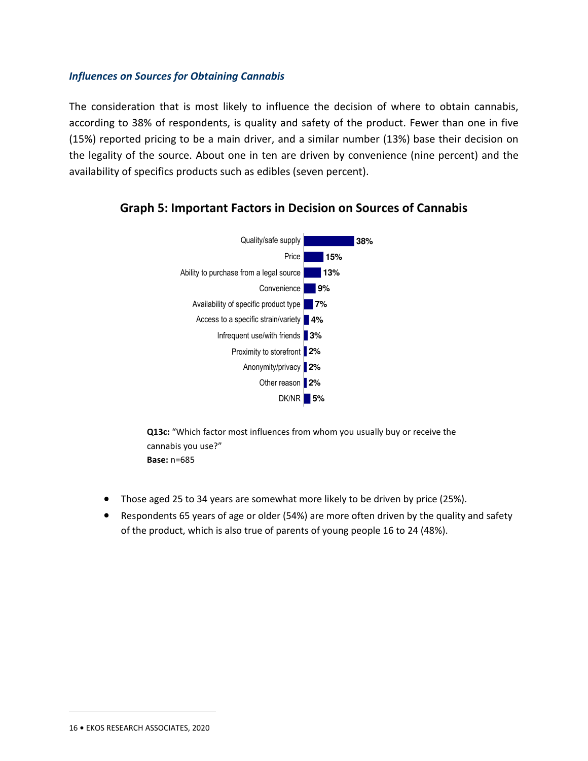#### *Influences on Sources for Obtaining Cannabis*

The consideration that is most likely to influence the decision of where to obtain cannabis, according to 38% of respondents, is quality and safety of the product. Fewer than one in five (15%) reported pricing to be a main driver, and a similar number (13%) base their decision on the legality of the source. About one in ten are driven by convenience (nine percent) and the availability of specifics products such as edibles (seven percent).



## **Graph 5: Important Factors in Decision on Sources of Cannabis**

**Q13c:** "Which factor most influences from whom you usually buy or receive the cannabis you use?" **Base:** n=685

- Those aged 25 to 34 years are somewhat more likely to be driven by price (25%).
- Respondents 65 years of age or older (54%) are more often driven by the quality and safety of the product, which is also true of parents of young people 16 to 24 (48%).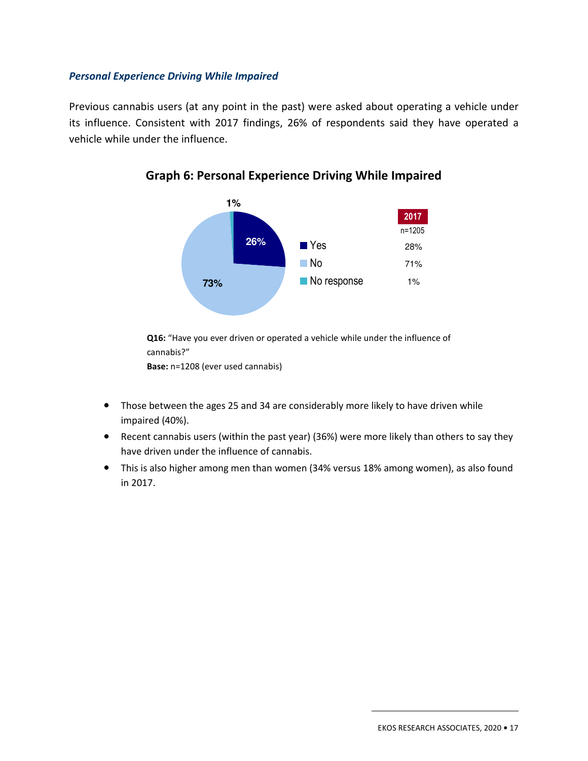#### *Personal Experience Driving While Impaired*

Previous cannabis users (at any point in the past) were asked about operating a vehicle under its influence. Consistent with 2017 findings, 26% of respondents said they have operated a vehicle while under the influence.





**Q16:** "Have you ever driven or operated a vehicle while under the influence of cannabis?"

**Base:** n=1208 (ever used cannabis)

- Those between the ages 25 and 34 are considerably more likely to have driven while impaired (40%).
- Recent cannabis users (within the past year) (36%) were more likely than others to say they have driven under the influence of cannabis.
- This is also higher among men than women (34% versus 18% among women), as also found in 2017.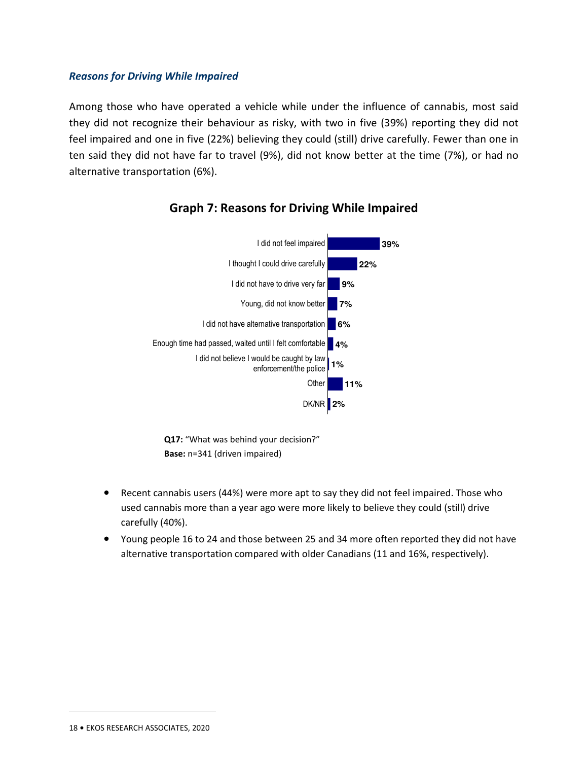#### *Reasons for Driving While Impaired*

Among those who have operated a vehicle while under the influence of cannabis, most said they did not recognize their behaviour as risky, with two in five (39%) reporting they did not feel impaired and one in five (22%) believing they could (still) drive carefully. Fewer than one in ten said they did not have far to travel (9%), did not know better at the time (7%), or had no alternative transportation (6%).



## **Graph 7: Reasons for Driving While Impaired**

**Q17:** "What was behind your decision?" **Base:** n=341 (driven impaired)

- Recent cannabis users (44%) were more apt to say they did not feel impaired. Those who used cannabis more than a year ago were more likely to believe they could (still) drive carefully (40%).
- Young people 16 to 24 and those between 25 and 34 more often reported they did not have alternative transportation compared with older Canadians (11 and 16%, respectively).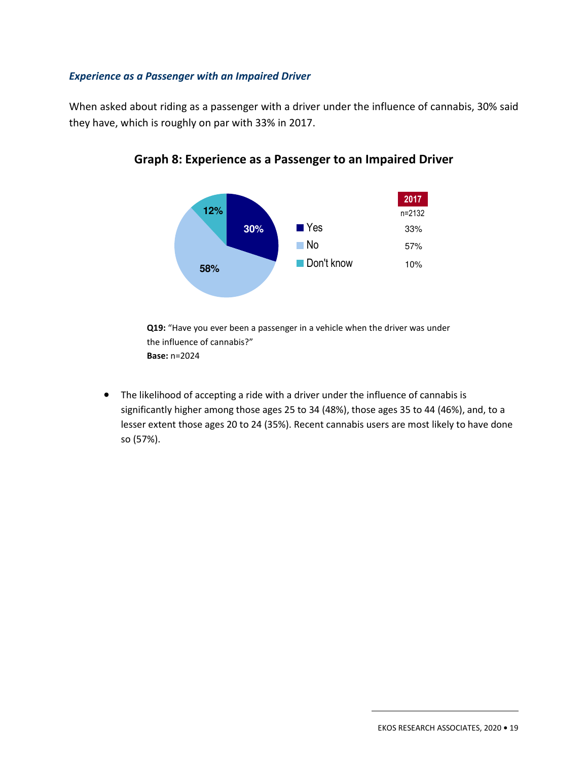#### *Experience as a Passenger with an Impaired Driver*

When asked about riding as a passenger with a driver under the influence of cannabis, 30% said they have, which is roughly on par with 33% in 2017.





**Q19:** "Have you ever been a passenger in a vehicle when the driver was under the influence of cannabis?" **Base:** n=2024

• The likelihood of accepting a ride with a driver under the influence of cannabis is significantly higher among those ages 25 to 34 (48%), those ages 35 to 44 (46%), and, to a lesser extent those ages 20 to 24 (35%). Recent cannabis users are most likely to have done so (57%).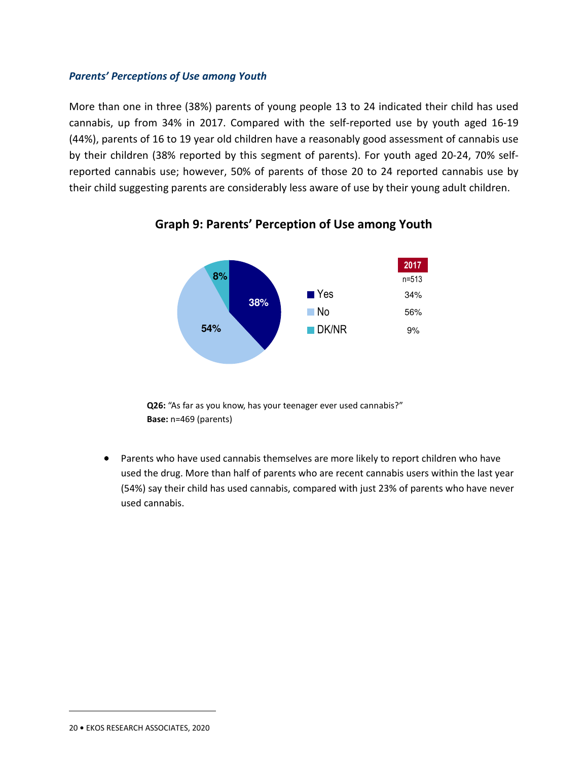#### *Parents' Perceptions of Use among Youth*

More than one in three (38%) parents of young people 13 to 24 indicated their child has used cannabis, up from 34% in 2017. Compared with the self-reported use by youth aged 16-19 (44%), parents of 16 to 19 year old children have a reasonably good assessment of cannabis use by their children (38% reported by this segment of parents). For youth aged 20-24, 70% selfreported cannabis use; however, 50% of parents of those 20 to 24 reported cannabis use by their child suggesting parents are considerably less aware of use by their young adult children.



## **Graph 9: Parents' Perception of Use among Youth**

**Q26:** "As far as you know, has your teenager ever used cannabis?" **Base:** n=469 (parents)

• Parents who have used cannabis themselves are more likely to report children who have used the drug. More than half of parents who are recent cannabis users within the last year (54%) say their child has used cannabis, compared with just 23% of parents who have never used cannabis.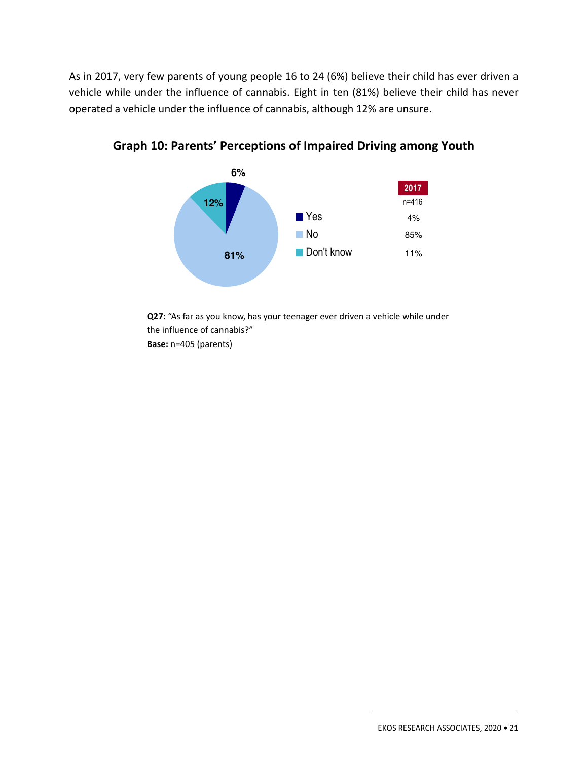As in 2017, very few parents of young people 16 to 24 (6%) believe their child has ever driven a vehicle while under the influence of cannabis. Eight in ten (81%) believe their child has never operated a vehicle under the influence of cannabis, although 12% are unsure.



**Graph 10: Parents' Perceptions of Impaired Driving among Youth** 

**Q27:** "As far as you know, has your teenager ever driven a vehicle while under the influence of cannabis?" **Base:** n=405 (parents)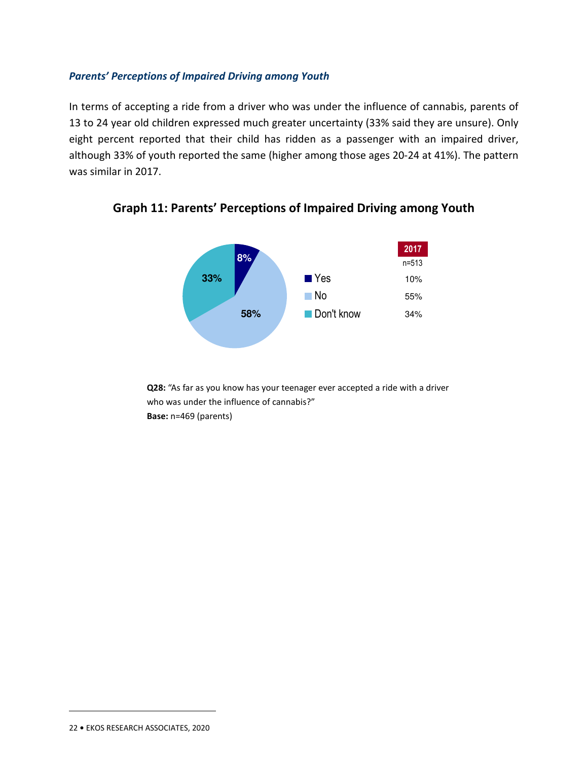#### *Parents' Perceptions of Impaired Driving among Youth*

In terms of accepting a ride from a driver who was under the influence of cannabis, parents of 13 to 24 year old children expressed much greater uncertainty (33% said they are unsure). Only eight percent reported that their child has ridden as a passenger with an impaired driver, although 33% of youth reported the same (higher among those ages 20-24 at 41%). The pattern was similar in 2017.



**Graph 11: Parents' Perceptions of Impaired Driving among Youth** 

**Q28:** "As far as you know has your teenager ever accepted a ride with a driver who was under the influence of cannabis?" **Base:** n=469 (parents)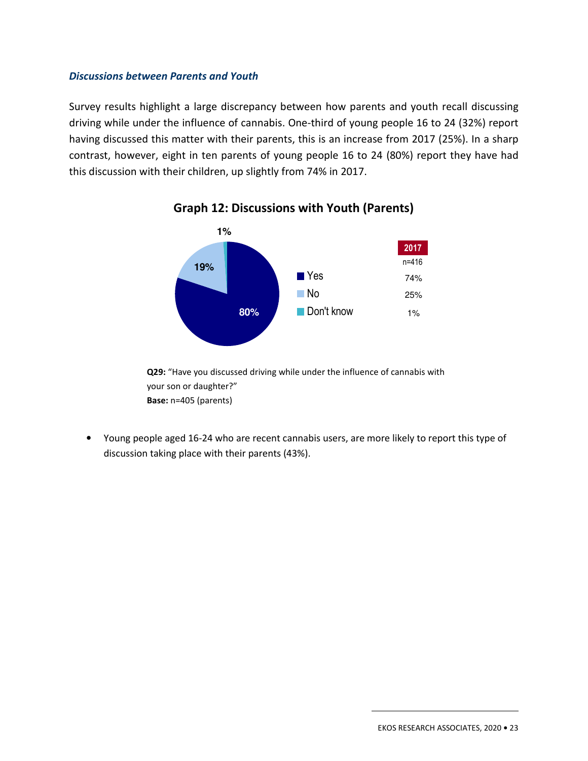#### *Discussions between Parents and Youth*

Survey results highlight a large discrepancy between how parents and youth recall discussing driving while under the influence of cannabis. One-third of young people 16 to 24 (32%) report having discussed this matter with their parents, this is an increase from 2017 (25%). In a sharp contrast, however, eight in ten parents of young people 16 to 24 (80%) report they have had this discussion with their children, up slightly from 74% in 2017.



## **Graph 12: Discussions with Youth (Parents)**

**Q29:** "Have you discussed driving while under the influence of cannabis with your son or daughter?" **Base:** n=405 (parents)

• Young people aged 16-24 who are recent cannabis users, are more likely to report this type of discussion taking place with their parents (43%).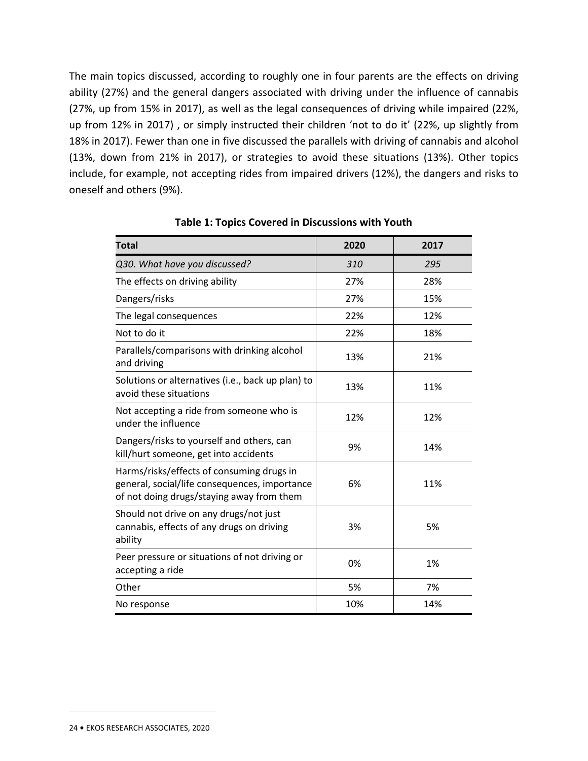The main topics discussed, according to roughly one in four parents are the effects on driving ability (27%) and the general dangers associated with driving under the influence of cannabis (27%, up from 15% in 2017), as well as the legal consequences of driving while impaired (22%, up from 12% in 2017) , or simply instructed their children 'not to do it' (22%, up slightly from 18% in 2017). Fewer than one in five discussed the parallels with driving of cannabis and alcohol (13%, down from 21% in 2017), or strategies to avoid these situations (13%). Other topics include, for example, not accepting rides from impaired drivers (12%), the dangers and risks to oneself and others (9%).

| <b>Total</b>                                                                                                                            | 2020 | 2017 |
|-----------------------------------------------------------------------------------------------------------------------------------------|------|------|
| Q30. What have you discussed?                                                                                                           | 310  | 295  |
| The effects on driving ability                                                                                                          | 27%  | 28%  |
| Dangers/risks                                                                                                                           | 27%  | 15%  |
| The legal consequences                                                                                                                  | 22%  | 12%  |
| Not to do it                                                                                                                            | 22%  | 18%  |
| Parallels/comparisons with drinking alcohol<br>and driving                                                                              | 13%  | 21%  |
| Solutions or alternatives (i.e., back up plan) to<br>avoid these situations                                                             | 13%  | 11%  |
| Not accepting a ride from someone who is<br>under the influence                                                                         | 12%  | 12%  |
| Dangers/risks to yourself and others, can<br>kill/hurt someone, get into accidents                                                      | 9%   | 14%  |
| Harms/risks/effects of consuming drugs in<br>general, social/life consequences, importance<br>of not doing drugs/staying away from them | 6%   | 11%  |
| Should not drive on any drugs/not just<br>cannabis, effects of any drugs on driving<br>ability                                          | 3%   | 5%   |
| Peer pressure or situations of not driving or<br>accepting a ride                                                                       | 0%   | 1%   |
| Other                                                                                                                                   | 5%   | 7%   |
| No response                                                                                                                             | 10%  | 14%  |

**Table 1: Topics Covered in Discussions with Youth**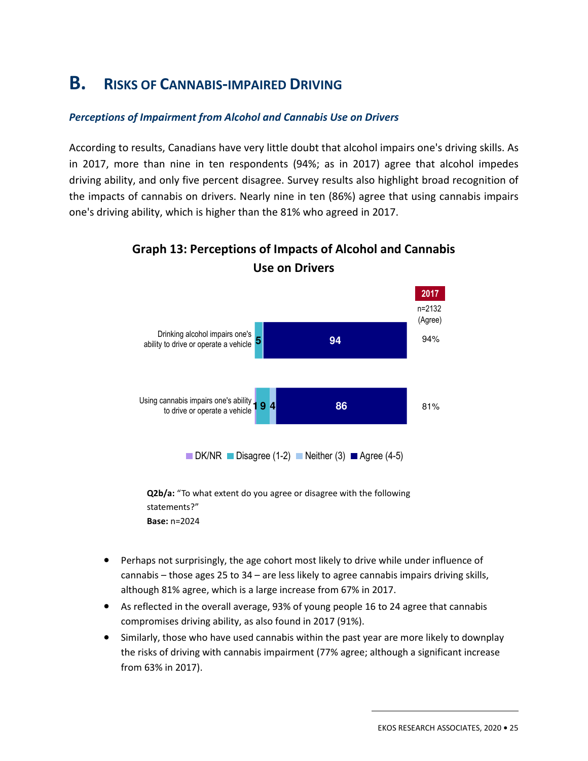# **B. RISKS OF CANNABIS-IMPAIRED DRIVING**

#### *Perceptions of Impairment from Alcohol and Cannabis Use on Drivers*

According to results, Canadians have very little doubt that alcohol impairs one's driving skills. As in 2017, more than nine in ten respondents (94%; as in 2017) agree that alcohol impedes driving ability, and only five percent disagree. Survey results also highlight broad recognition of the impacts of cannabis on drivers. Nearly nine in ten (86%) agree that using cannabis impairs one's driving ability, which is higher than the 81% who agreed in 2017.



# **Graph 13: Perceptions of Impacts of Alcohol and Cannabis Use on Drivers**

**Q2b/a:** "To what extent do you agree or disagree with the following statements?" **Base:** n=2024

- Perhaps not surprisingly, the age cohort most likely to drive while under influence of cannabis – those ages 25 to 34 – are less likely to agree cannabis impairs driving skills, although 81% agree, which is a large increase from 67% in 2017.
- As reflected in the overall average, 93% of young people 16 to 24 agree that cannabis compromises driving ability, as also found in 2017 (91%).
- Similarly, those who have used cannabis within the past year are more likely to downplay the risks of driving with cannabis impairment (77% agree; although a significant increase from 63% in 2017).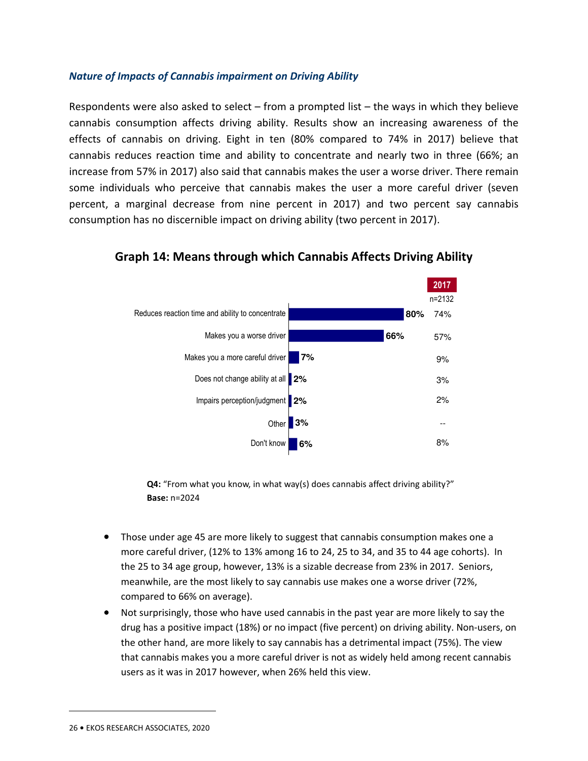#### *Nature of Impacts of Cannabis impairment on Driving Ability*

Respondents were also asked to select – from a prompted list – the ways in which they believe cannabis consumption affects driving ability. Results show an increasing awareness of the effects of cannabis on driving. Eight in ten (80% compared to 74% in 2017) believe that cannabis reduces reaction time and ability to concentrate and nearly two in three (66%; an increase from 57% in 2017) also said that cannabis makes the user a worse driver. There remain some individuals who perceive that cannabis makes the user a more careful driver (seven percent, a marginal decrease from nine percent in 2017) and two percent say cannabis consumption has no discernible impact on driving ability (two percent in 2017).



**Graph 14: Means through which Cannabis Affects Driving Ability** 

**Q4:** "From what you know, in what way(s) does cannabis affect driving ability?" **Base:** n=2024

- Those under age 45 are more likely to suggest that cannabis consumption makes one a more careful driver, (12% to 13% among 16 to 24, 25 to 34, and 35 to 44 age cohorts). In the 25 to 34 age group, however, 13% is a sizable decrease from 23% in 2017. Seniors, meanwhile, are the most likely to say cannabis use makes one a worse driver (72%, compared to 66% on average).
- Not surprisingly, those who have used cannabis in the past year are more likely to say the drug has a positive impact (18%) or no impact (five percent) on driving ability. Non-users, on the other hand, are more likely to say cannabis has a detrimental impact (75%). The view that cannabis makes you a more careful driver is not as widely held among recent cannabis users as it was in 2017 however, when 26% held this view.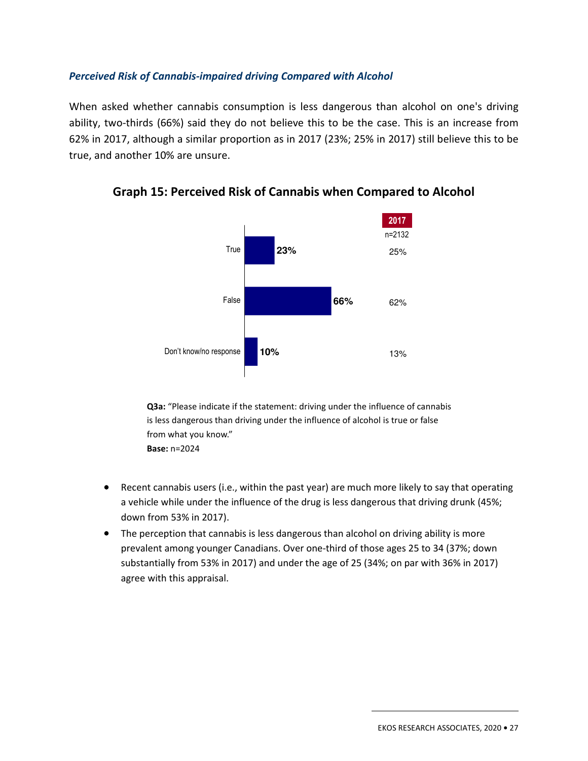#### *Perceived Risk of Cannabis-impaired driving Compared with Alcohol*

When asked whether cannabis consumption is less dangerous than alcohol on one's driving ability, two-thirds (66%) said they do not believe this to be the case. This is an increase from 62% in 2017, although a similar proportion as in 2017 (23%; 25% in 2017) still believe this to be true, and another 10% are unsure.



**Graph 15: Perceived Risk of Cannabis when Compared to Alcohol** 

**Q3a:** "Please indicate if the statement: driving under the influence of cannabis is less dangerous than driving under the influence of alcohol is true or false from what you know." **Base:** n=2024

- Recent cannabis users (i.e., within the past year) are much more likely to say that operating a vehicle while under the influence of the drug is less dangerous that driving drunk (45%; down from 53% in 2017).
- The perception that cannabis is less dangerous than alcohol on driving ability is more prevalent among younger Canadians. Over one-third of those ages 25 to 34 (37%; down substantially from 53% in 2017) and under the age of 25 (34%; on par with 36% in 2017) agree with this appraisal.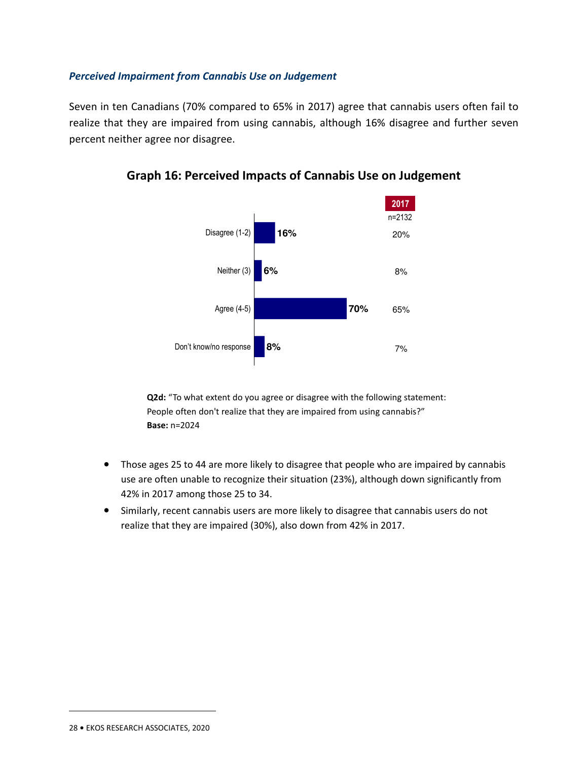#### *Perceived Impairment from Cannabis Use on Judgement*

Seven in ten Canadians (70% compared to 65% in 2017) agree that cannabis users often fail to realize that they are impaired from using cannabis, although 16% disagree and further seven percent neither agree nor disagree.





**Q2d:** "To what extent do you agree or disagree with the following statement: People often don't realize that they are impaired from using cannabis?" **Base:** n=2024

- Those ages 25 to 44 are more likely to disagree that people who are impaired by cannabis use are often unable to recognize their situation (23%), although down significantly from 42% in 2017 among those 25 to 34.
- Similarly, recent cannabis users are more likely to disagree that cannabis users do not realize that they are impaired (30%), also down from 42% in 2017.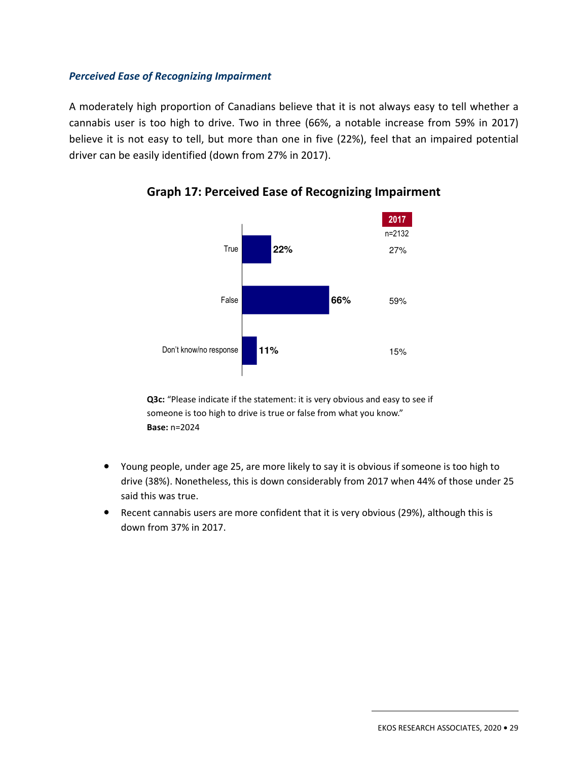#### *Perceived Ease of Recognizing Impairment*

A moderately high proportion of Canadians believe that it is not always easy to tell whether a cannabis user is too high to drive. Two in three (66%, a notable increase from 59% in 2017) believe it is not easy to tell, but more than one in five (22%), feel that an impaired potential driver can be easily identified (down from 27% in 2017).



**Graph 17: Perceived Ease of Recognizing Impairment** 

**Q3c:** "Please indicate if the statement: it is very obvious and easy to see if someone is too high to drive is true or false from what you know." **Base:** n=2024

- Young people, under age 25, are more likely to say it is obvious if someone is too high to drive (38%). Nonetheless, this is down considerably from 2017 when 44% of those under 25 said this was true.
- Recent cannabis users are more confident that it is very obvious (29%), although this is down from 37% in 2017.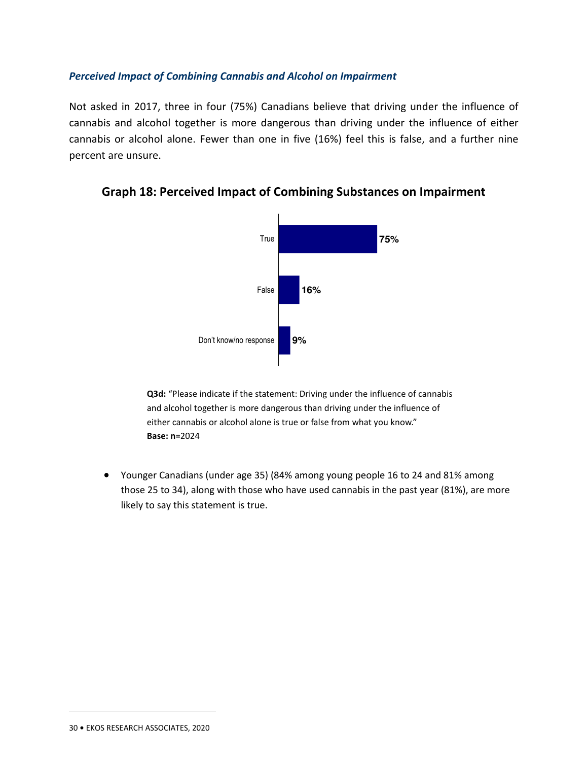#### *Perceived Impact of Combining Cannabis and Alcohol on Impairment*

Not asked in 2017, three in four (75%) Canadians believe that driving under the influence of cannabis and alcohol together is more dangerous than driving under the influence of either cannabis or alcohol alone. Fewer than one in five (16%) feel this is false, and a further nine percent are unsure.



### **Graph 18: Perceived Impact of Combining Substances on Impairment**

**Q3d:** "Please indicate if the statement: Driving under the influence of cannabis and alcohol together is more dangerous than driving under the influence of either cannabis or alcohol alone is true or false from what you know." **Base: n=**2024

• Younger Canadians (under age 35) (84% among young people 16 to 24 and 81% among those 25 to 34), along with those who have used cannabis in the past year (81%), are more likely to say this statement is true.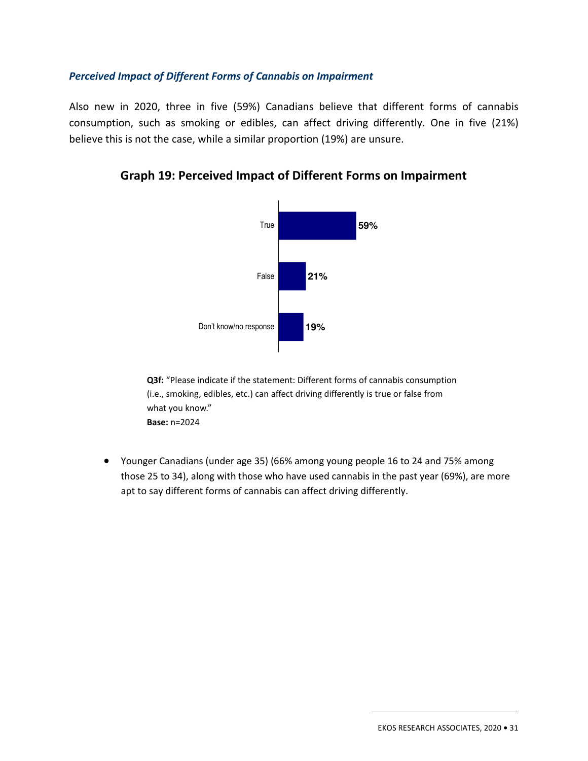#### *Perceived Impact of Different Forms of Cannabis on Impairment*

Also new in 2020, three in five (59%) Canadians believe that different forms of cannabis consumption, such as smoking or edibles, can affect driving differently. One in five (21%) believe this is not the case, while a similar proportion (19%) are unsure.



**Graph 19: Perceived Impact of Different Forms on Impairment** 

**Q3f:** "Please indicate if the statement: Different forms of cannabis consumption (i.e., smoking, edibles, etc.) can affect driving differently is true or false from what you know." **Base:** n=2024

• Younger Canadians (under age 35) (66% among young people 16 to 24 and 75% among those 25 to 34), along with those who have used cannabis in the past year (69%), are more apt to say different forms of cannabis can affect driving differently.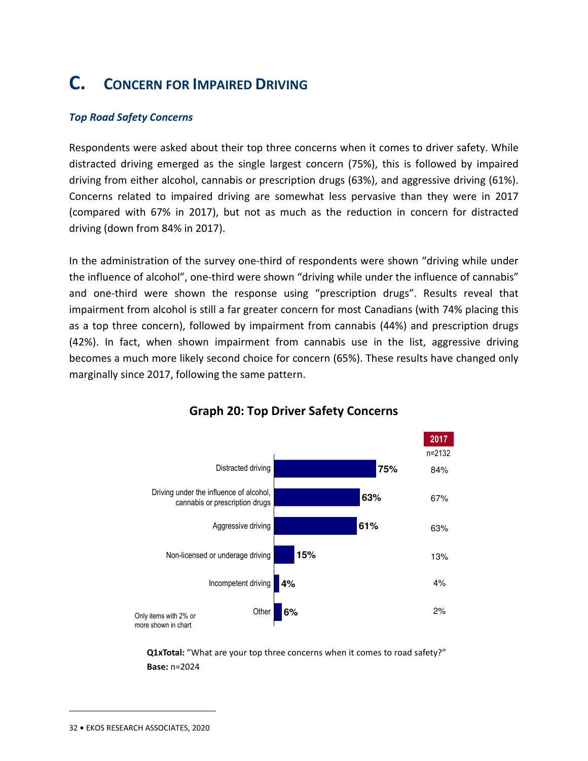# **C. CONCERN FOR IMPAIRED DRIVING**

#### *Top Road Safety Concerns*

Respondents were asked about their top three concerns when it comes to driver safety. While distracted driving emerged as the single largest concern (75%), this is followed by impaired driving from either alcohol, cannabis or prescription drugs (63%), and aggressive driving (61%). Concerns related to impaired driving are somewhat less pervasive than they were in 2017 (compared with 67% in 2017), but not as much as the reduction in concern for distracted driving (down from 84% in 2017).

In the administration of the survey one-third of respondents were shown "driving while under the influence of alcohol", one-third were shown "driving while under the influence of cannabis" and one-third were shown the response using "prescription drugs". Results reveal that impairment from alcohol is still a far greater concern for most Canadians (with 74% placing this as a top three concern), followed by impairment from cannabis (44%) and prescription drugs (42%). In fact, when shown impairment from cannabis use in the list, aggressive driving becomes a much more likely second choice for concern (65%). These results have changed only marginally since 2017, following the same pattern.



## **Graph 20: Top Driver Safety Concerns**

**Q1xTotal:** "What are your top three concerns when it comes to road safety?" **Base:** n=2024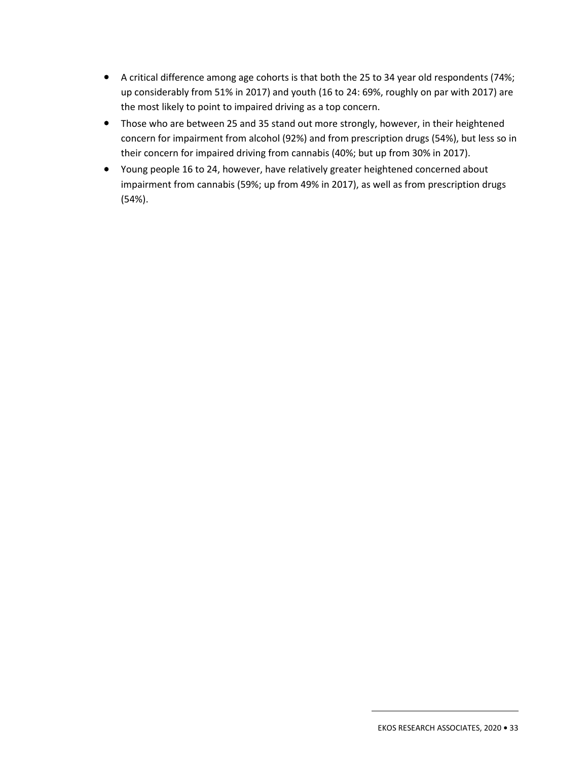- A critical difference among age cohorts is that both the 25 to 34 year old respondents (74%; up considerably from 51% in 2017) and youth (16 to 24: 69%, roughly on par with 2017) are the most likely to point to impaired driving as a top concern.
- Those who are between 25 and 35 stand out more strongly, however, in their heightened concern for impairment from alcohol (92%) and from prescription drugs (54%), but less so in their concern for impaired driving from cannabis (40%; but up from 30% in 2017).
- Young people 16 to 24, however, have relatively greater heightened concerned about impairment from cannabis (59%; up from 49% in 2017), as well as from prescription drugs (54%).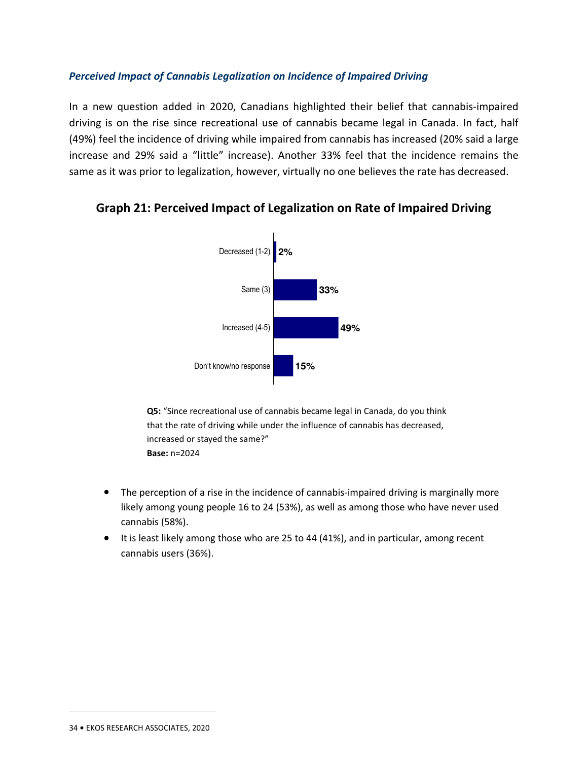#### *Perceived Impact of Cannabis Legalization on Incidence of Impaired Driving*

In a new question added in 2020, Canadians highlighted their belief that cannabis-impaired driving is on the rise since recreational use of cannabis became legal in Canada. In fact, half (49%) feel the incidence of driving while impaired from cannabis has increased (20% said a large increase and 29% said a "little" increase). Another 33% feel that the incidence remains the same as it was prior to legalization, however, virtually no one believes the rate has decreased.



## **Graph 21: Perceived Impact of Legalization on Rate of Impaired Driving**

**Q5:** "Since recreational use of cannabis became legal in Canada, do you think that the rate of driving while under the influence of cannabis has decreased, increased or stayed the same?" **Base:** n=2024

- The perception of a rise in the incidence of cannabis-impaired driving is marginally more likely among young people 16 to 24 (53%), as well as among those who have never used cannabis (58%).
- It is least likely among those who are 25 to 44 (41%), and in particular, among recent cannabis users (36%).

<sup>34</sup> **•** EKOS RESEARCH ASSOCIATES, 2020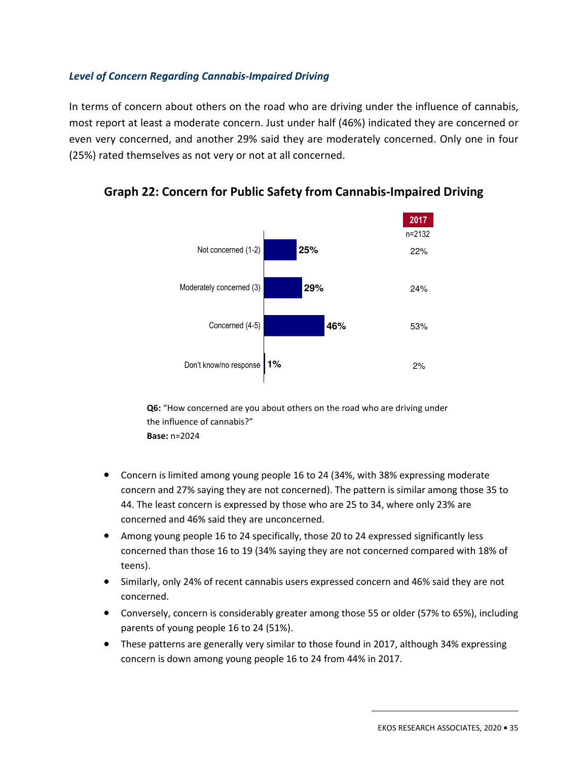#### *Level of Concern Regarding Cannabis-Impaired Driving*

In terms of concern about others on the road who are driving under the influence of cannabis, most report at least a moderate concern. Just under half (46%) indicated they are concerned or even very concerned, and another 29% said they are moderately concerned. Only one in four (25%) rated themselves as not very or not at all concerned.



**Graph 22: Concern for Public Safety from Cannabis-Impaired Driving** 

**Q6:** "How concerned are you about others on the road who are driving under the influence of cannabis?" **Base:** n=2024

- Concern is limited among young people 16 to 24 (34%, with 38% expressing moderate concern and 27% saying they are not concerned). The pattern is similar among those 35 to 44. The least concern is expressed by those who are 25 to 34, where only 23% are concerned and 46% said they are unconcerned.
- Among young people 16 to 24 specifically, those 20 to 24 expressed significantly less concerned than those 16 to 19 (34% saying they are not concerned compared with 18% of teens).
- Similarly, only 24% of recent cannabis users expressed concern and 46% said they are not concerned.
- Conversely, concern is considerably greater among those 55 or older (57% to 65%), including parents of young people 16 to 24 (51%).
- These patterns are generally very similar to those found in 2017, although 34% expressing concern is down among young people 16 to 24 from 44% in 2017.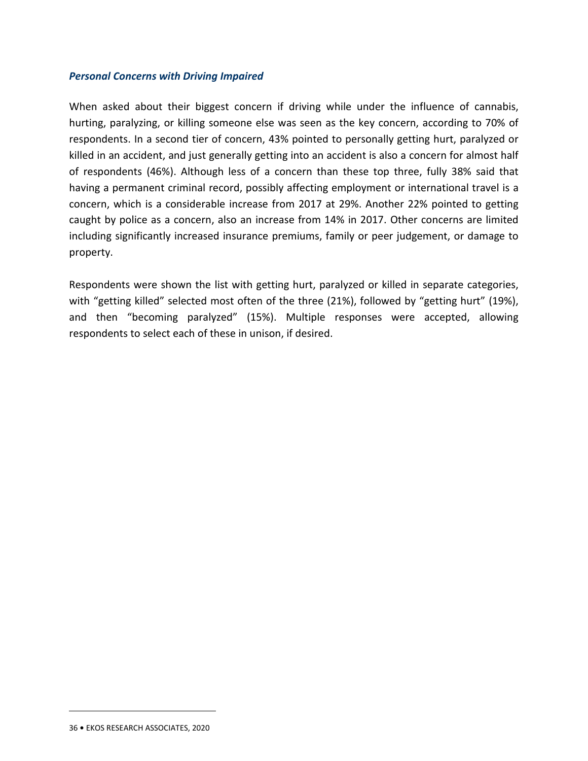#### *Personal Concerns with Driving Impaired*

When asked about their biggest concern if driving while under the influence of cannabis, hurting, paralyzing, or killing someone else was seen as the key concern, according to 70% of respondents. In a second tier of concern, 43% pointed to personally getting hurt, paralyzed or killed in an accident, and just generally getting into an accident is also a concern for almost half of respondents (46%). Although less of a concern than these top three, fully 38% said that having a permanent criminal record, possibly affecting employment or international travel is a concern, which is a considerable increase from 2017 at 29%. Another 22% pointed to getting caught by police as a concern, also an increase from 14% in 2017. Other concerns are limited including significantly increased insurance premiums, family or peer judgement, or damage to property.

Respondents were shown the list with getting hurt, paralyzed or killed in separate categories, with "getting killed" selected most often of the three (21%), followed by "getting hurt" (19%), and then "becoming paralyzed" (15%). Multiple responses were accepted, allowing respondents to select each of these in unison, if desired.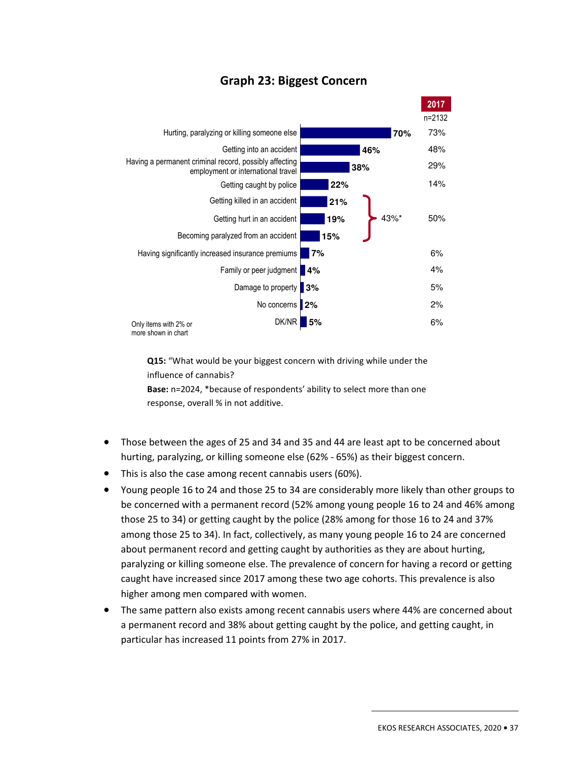

## **Graph 23: Biggest Concern**

**Q15:** "What would be your biggest concern with driving while under the influence of cannabis?

**Base:** n=2024, \*because of respondents' ability to select more than one response, overall % in not additive.

- Those between the ages of 25 and 34 and 35 and 44 are least apt to be concerned about hurting, paralyzing, or killing someone else (62% - 65%) as their biggest concern.
- This is also the case among recent cannabis users (60%).
- Young people 16 to 24 and those 25 to 34 are considerably more likely than other groups to be concerned with a permanent record (52% among young people 16 to 24 and 46% among those 25 to 34) or getting caught by the police (28% among for those 16 to 24 and 37% among those 25 to 34). In fact, collectively, as many young people 16 to 24 are concerned about permanent record and getting caught by authorities as they are about hurting, paralyzing or killing someone else. The prevalence of concern for having a record or getting caught have increased since 2017 among these two age cohorts. This prevalence is also higher among men compared with women.
- The same pattern also exists among recent cannabis users where 44% are concerned about a permanent record and 38% about getting caught by the police, and getting caught, in particular has increased 11 points from 27% in 2017.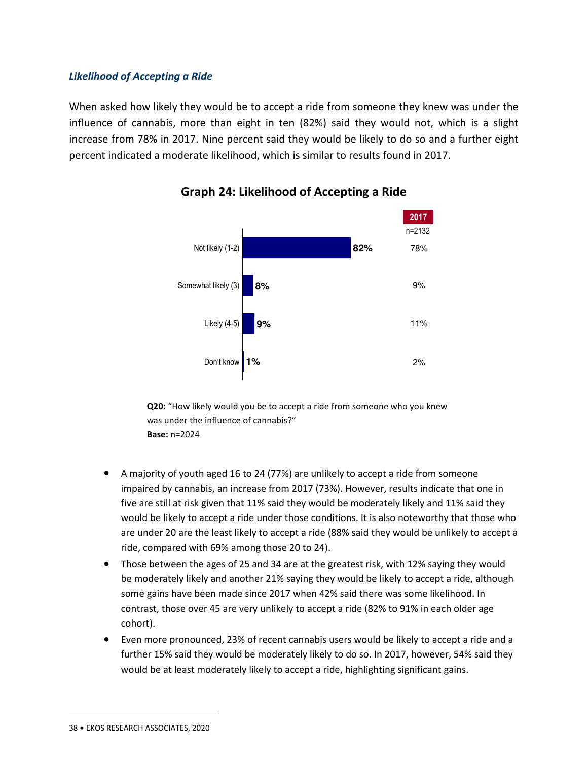#### *Likelihood of Accepting a Ride*

When asked how likely they would be to accept a ride from someone they knew was under the influence of cannabis, more than eight in ten (82%) said they would not, which is a slight increase from 78% in 2017. Nine percent said they would be likely to do so and a further eight percent indicated a moderate likelihood, which is similar to results found in 2017.



## **Graph 24: Likelihood of Accepting a Ride**

**Q20:** "How likely would you be to accept a ride from someone who you knew was under the influence of cannabis?" **Base:** n=2024

- A majority of youth aged 16 to 24 (77%) are unlikely to accept a ride from someone impaired by cannabis, an increase from 2017 (73%). However, results indicate that one in five are still at risk given that 11% said they would be moderately likely and 11% said they would be likely to accept a ride under those conditions. It is also noteworthy that those who are under 20 are the least likely to accept a ride (88% said they would be unlikely to accept a ride, compared with 69% among those 20 to 24).
- Those between the ages of 25 and 34 are at the greatest risk, with 12% saying they would be moderately likely and another 21% saying they would be likely to accept a ride, although some gains have been made since 2017 when 42% said there was some likelihood. In contrast, those over 45 are very unlikely to accept a ride (82% to 91% in each older age cohort).
- Even more pronounced, 23% of recent cannabis users would be likely to accept a ride and a further 15% said they would be moderately likely to do so. In 2017, however, 54% said they would be at least moderately likely to accept a ride, highlighting significant gains.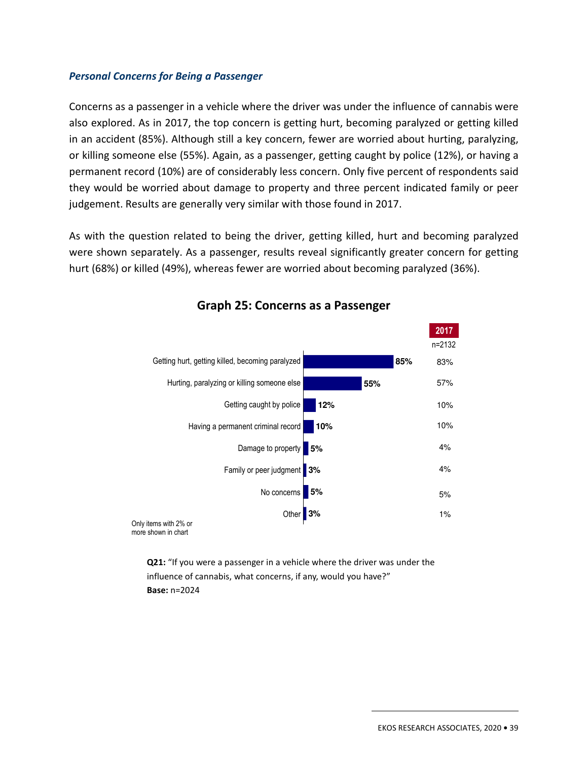#### *Personal Concerns for Being a Passenger*

Concerns as a passenger in a vehicle where the driver was under the influence of cannabis were also explored. As in 2017, the top concern is getting hurt, becoming paralyzed or getting killed in an accident (85%). Although still a key concern, fewer are worried about hurting, paralyzing, or killing someone else (55%). Again, as a passenger, getting caught by police (12%), or having a permanent record (10%) are of considerably less concern. Only five percent of respondents said they would be worried about damage to property and three percent indicated family or peer judgement. Results are generally very similar with those found in 2017.

As with the question related to being the driver, getting killed, hurt and becoming paralyzed were shown separately. As a passenger, results reveal significantly greater concern for getting hurt (68%) or killed (49%), whereas fewer are worried about becoming paralyzed (36%).



## **Graph 25: Concerns as a Passenger**

**Q21:** "If you were a passenger in a vehicle where the driver was under the influence of cannabis, what concerns, if any, would you have?" **Base:** n=2024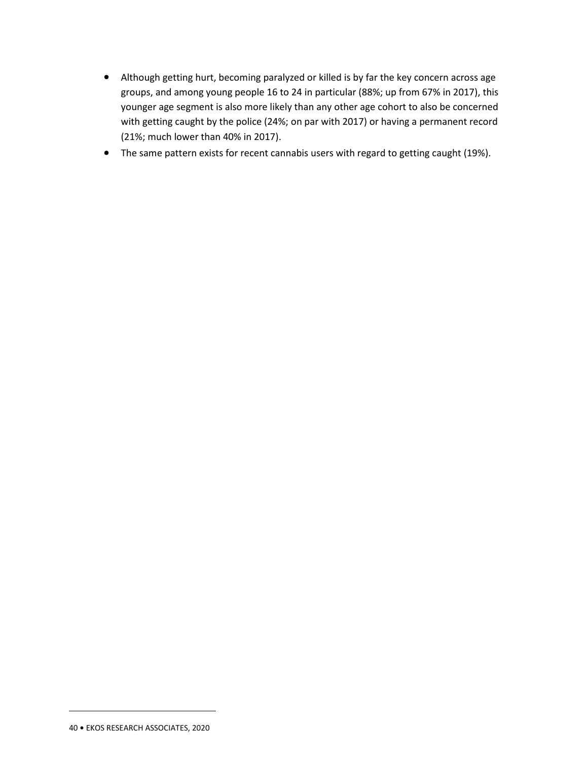- Although getting hurt, becoming paralyzed or killed is by far the key concern across age groups, and among young people 16 to 24 in particular (88%; up from 67% in 2017), this younger age segment is also more likely than any other age cohort to also be concerned with getting caught by the police (24%; on par with 2017) or having a permanent record (21%; much lower than 40% in 2017).
- The same pattern exists for recent cannabis users with regard to getting caught (19%).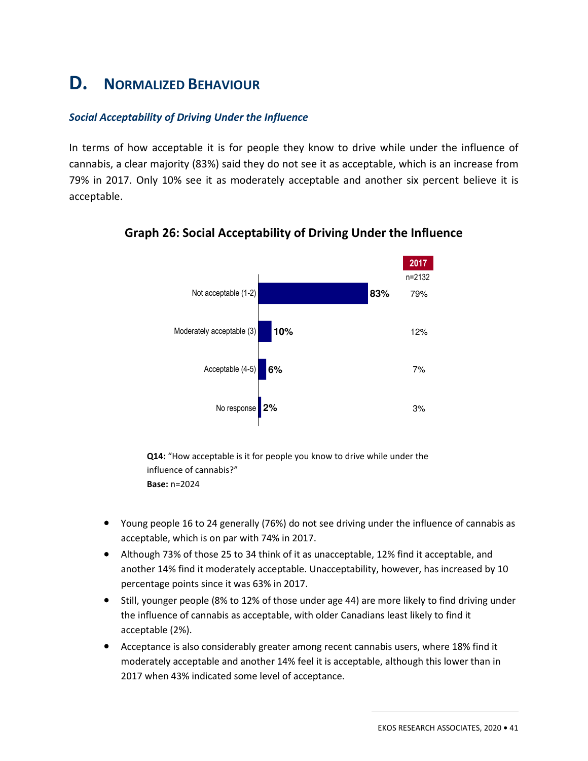## **D. NORMALIZED BEHAVIOUR**

#### *Social Acceptability of Driving Under the Influence*

In terms of how acceptable it is for people they know to drive while under the influence of cannabis, a clear majority (83%) said they do not see it as acceptable, which is an increase from 79% in 2017. Only 10% see it as moderately acceptable and another six percent believe it is acceptable.



## **Graph 26: Social Acceptability of Driving Under the Influence**

**Q14:** "How acceptable is it for people you know to drive while under the influence of cannabis?" **Base:** n=2024

- Young people 16 to 24 generally (76%) do not see driving under the influence of cannabis as acceptable, which is on par with 74% in 2017.
- Although 73% of those 25 to 34 think of it as unacceptable, 12% find it acceptable, and another 14% find it moderately acceptable. Unacceptability, however, has increased by 10 percentage points since it was 63% in 2017.
- Still, younger people (8% to 12% of those under age 44) are more likely to find driving under the influence of cannabis as acceptable, with older Canadians least likely to find it acceptable (2%).
- Acceptance is also considerably greater among recent cannabis users, where 18% find it moderately acceptable and another 14% feel it is acceptable, although this lower than in 2017 when 43% indicated some level of acceptance.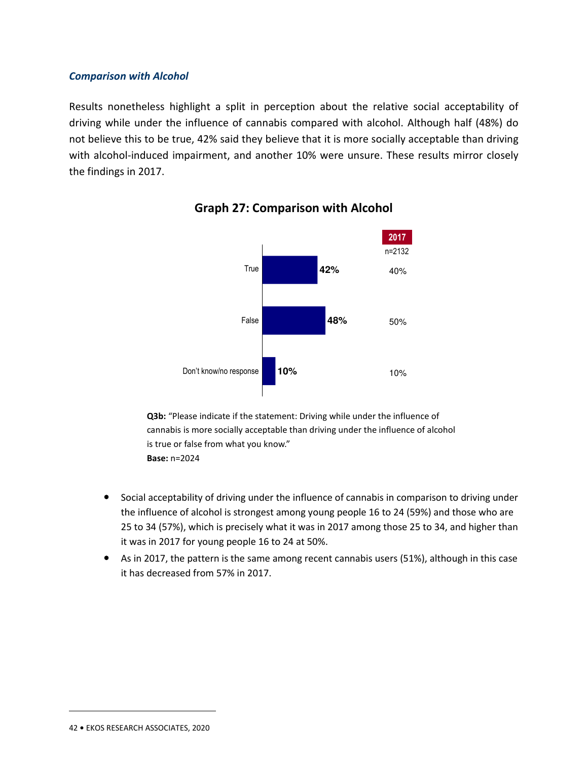#### *Comparison with Alcohol*

Results nonetheless highlight a split in perception about the relative social acceptability of driving while under the influence of cannabis compared with alcohol. Although half (48%) do not believe this to be true, 42% said they believe that it is more socially acceptable than driving with alcohol-induced impairment, and another 10% were unsure. These results mirror closely the findings in 2017.





**Q3b:** "Please indicate if the statement: Driving while under the influence of cannabis is more socially acceptable than driving under the influence of alcohol is true or false from what you know." **Base:** n=2024

- Social acceptability of driving under the influence of cannabis in comparison to driving under the influence of alcohol is strongest among young people 16 to 24 (59%) and those who are 25 to 34 (57%), which is precisely what it was in 2017 among those 25 to 34, and higher than it was in 2017 for young people 16 to 24 at 50%.
- As in 2017, the pattern is the same among recent cannabis users (51%), although in this case it has decreased from 57% in 2017.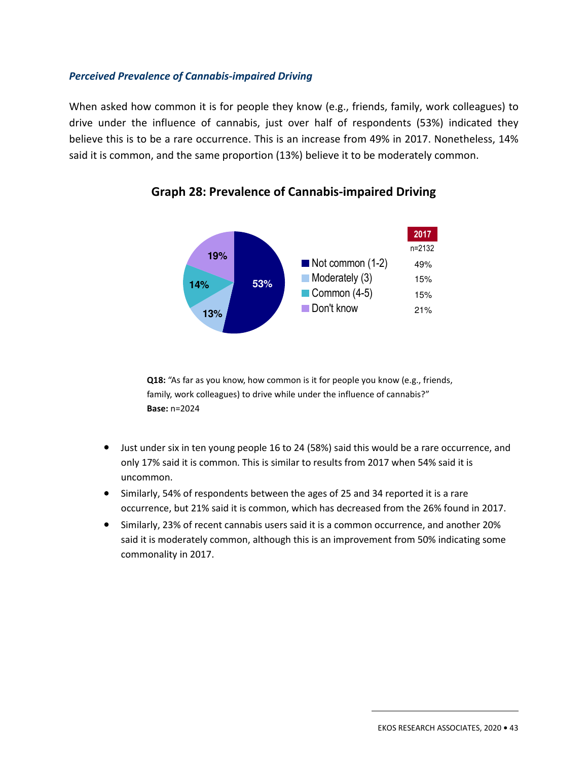#### *Perceived Prevalence of Cannabis-impaired Driving*

When asked how common it is for people they know (e.g., friends, family, work colleagues) to drive under the influence of cannabis, just over half of respondents (53%) indicated they believe this is to be a rare occurrence. This is an increase from 49% in 2017. Nonetheless, 14% said it is common, and the same proportion (13%) believe it to be moderately common.



## **Graph 28: Prevalence of Cannabis-impaired Driving**

**Q18:** "As far as you know, how common is it for people you know (e.g., friends, family, work colleagues) to drive while under the influence of cannabis?" **Base:** n=2024

- Just under six in ten young people 16 to 24 (58%) said this would be a rare occurrence, and only 17% said it is common. This is similar to results from 2017 when 54% said it is uncommon.
- Similarly, 54% of respondents between the ages of 25 and 34 reported it is a rare occurrence, but 21% said it is common, which has decreased from the 26% found in 2017.
- Similarly, 23% of recent cannabis users said it is a common occurrence, and another 20% said it is moderately common, although this is an improvement from 50% indicating some commonality in 2017.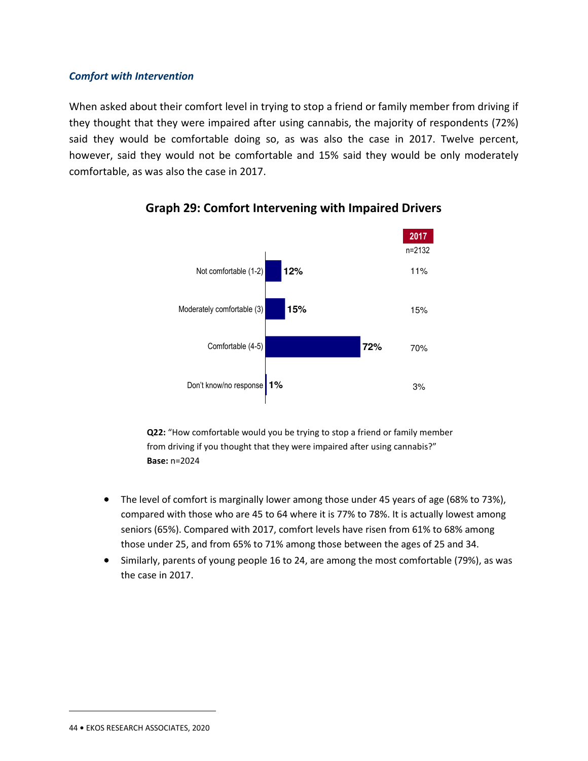#### *Comfort with Intervention*

When asked about their comfort level in trying to stop a friend or family member from driving if they thought that they were impaired after using cannabis, the majority of respondents (72%) said they would be comfortable doing so, as was also the case in 2017. Twelve percent, however, said they would not be comfortable and 15% said they would be only moderately comfortable, as was also the case in 2017.



## **Graph 29: Comfort Intervening with Impaired Drivers**

**Q22:** "How comfortable would you be trying to stop a friend or family member from driving if you thought that they were impaired after using cannabis?" **Base:** n=2024

- The level of comfort is marginally lower among those under 45 years of age (68% to 73%), compared with those who are 45 to 64 where it is 77% to 78%. It is actually lowest among seniors (65%). Compared with 2017, comfort levels have risen from 61% to 68% among those under 25, and from 65% to 71% among those between the ages of 25 and 34.
- Similarly, parents of young people 16 to 24, are among the most comfortable (79%), as was the case in 2017.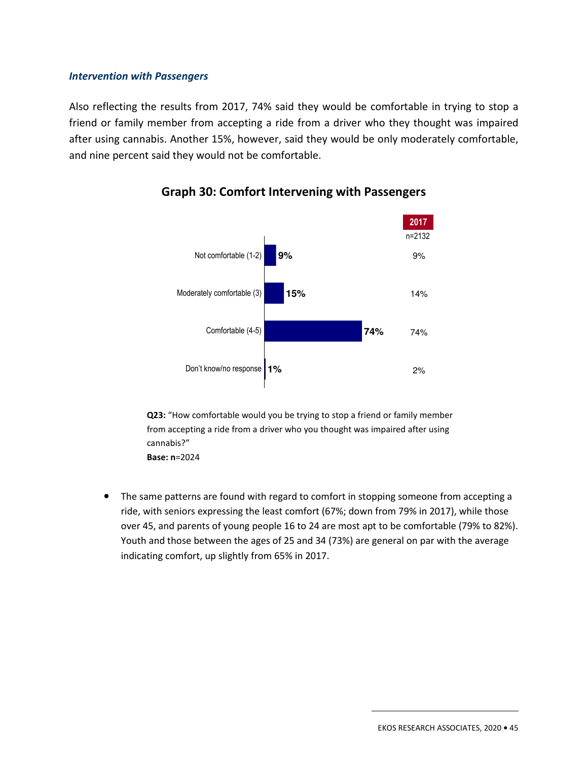#### *Intervention with Passengers*

Also reflecting the results from 2017, 74% said they would be comfortable in trying to stop a friend or family member from accepting a ride from a driver who they thought was impaired after using cannabis. Another 15%, however, said they would be only moderately comfortable, and nine percent said they would not be comfortable.



## **Graph 30: Comfort Intervening with Passengers**

**Q23:** "How comfortable would you be trying to stop a friend or family member from accepting a ride from a driver who you thought was impaired after using cannabis?" **Base: n**=2024

• The same patterns are found with regard to comfort in stopping someone from accepting a ride, with seniors expressing the least comfort (67%; down from 79% in 2017), while those over 45, and parents of young people 16 to 24 are most apt to be comfortable (79% to 82%). Youth and those between the ages of 25 and 34 (73%) are general on par with the average indicating comfort, up slightly from 65% in 2017.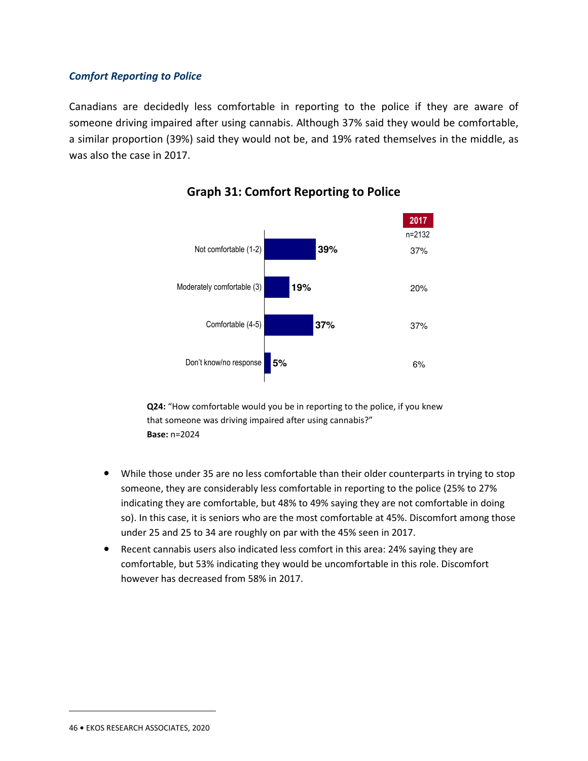#### *Comfort Reporting to Police*

Canadians are decidedly less comfortable in reporting to the police if they are aware of someone driving impaired after using cannabis. Although 37% said they would be comfortable, a similar proportion (39%) said they would not be, and 19% rated themselves in the middle, as was also the case in 2017.



## **Graph 31: Comfort Reporting to Police**

**Q24:** "How comfortable would you be in reporting to the police, if you knew that someone was driving impaired after using cannabis?" **Base:** n=2024

- While those under 35 are no less comfortable than their older counterparts in trying to stop someone, they are considerably less comfortable in reporting to the police (25% to 27% indicating they are comfortable, but 48% to 49% saying they are not comfortable in doing so). In this case, it is seniors who are the most comfortable at 45%. Discomfort among those under 25 and 25 to 34 are roughly on par with the 45% seen in 2017.
- Recent cannabis users also indicated less comfort in this area: 24% saying they are comfortable, but 53% indicating they would be uncomfortable in this role. Discomfort however has decreased from 58% in 2017.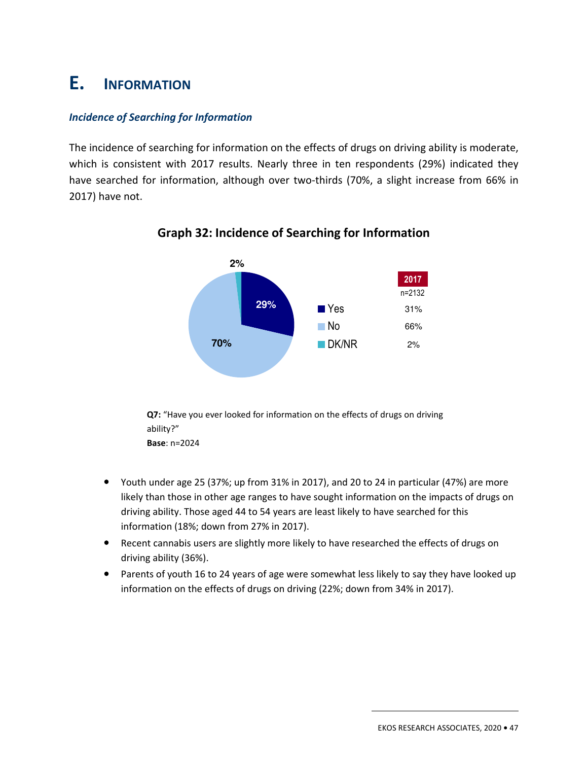## **E. INFORMATION**

## *Incidence of Searching for Information*

The incidence of searching for information on the effects of drugs on driving ability is moderate, which is consistent with 2017 results. Nearly three in ten respondents (29%) indicated they have searched for information, although over two-thirds (70%, a slight increase from 66% in 2017) have not.



## **Graph 32: Incidence of Searching for Information**

**Q7:** "Have you ever looked for information on the effects of drugs on driving ability?" **Base**: n=2024

- Youth under age 25 (37%; up from 31% in 2017), and 20 to 24 in particular (47%) are more likely than those in other age ranges to have sought information on the impacts of drugs on driving ability. Those aged 44 to 54 years are least likely to have searched for this information (18%; down from 27% in 2017).
- Recent cannabis users are slightly more likely to have researched the effects of drugs on driving ability (36%).
- Parents of youth 16 to 24 years of age were somewhat less likely to say they have looked up information on the effects of drugs on driving (22%; down from 34% in 2017).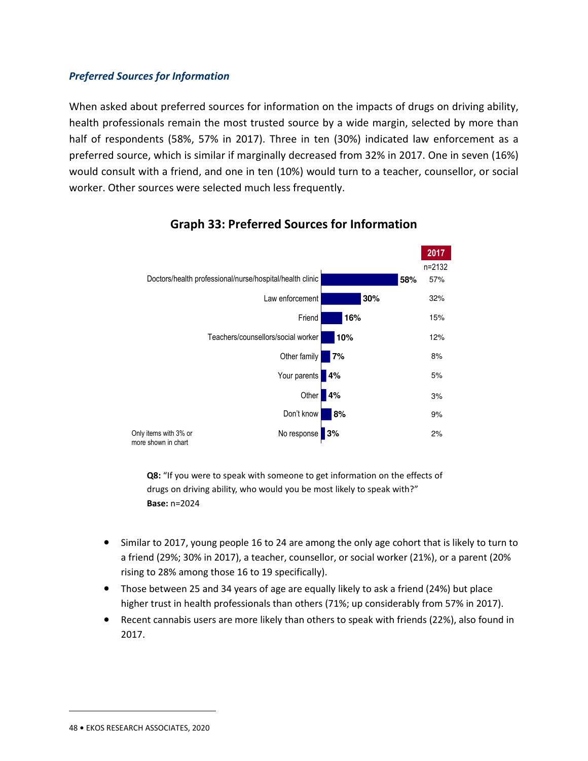#### *Preferred Sources for Information*

When asked about preferred sources for information on the impacts of drugs on driving ability, health professionals remain the most trusted source by a wide margin, selected by more than half of respondents (58%, 57% in 2017). Three in ten (30%) indicated law enforcement as a preferred source, which is similar if marginally decreased from 32% in 2017. One in seven (16%) would consult with a friend, and one in ten (10%) would turn to a teacher, counsellor, or social worker. Other sources were selected much less frequently.



## **Graph 33: Preferred Sources for Information**

**Q8:** "If you were to speak with someone to get information on the effects of drugs on driving ability, who would you be most likely to speak with?" **Base:** n=2024

- Similar to 2017, young people 16 to 24 are among the only age cohort that is likely to turn to a friend (29%; 30% in 2017), a teacher, counsellor, or social worker (21%), or a parent (20% rising to 28% among those 16 to 19 specifically).
- Those between 25 and 34 years of age are equally likely to ask a friend (24%) but place higher trust in health professionals than others (71%; up considerably from 57% in 2017).
- Recent cannabis users are more likely than others to speak with friends (22%), also found in 2017.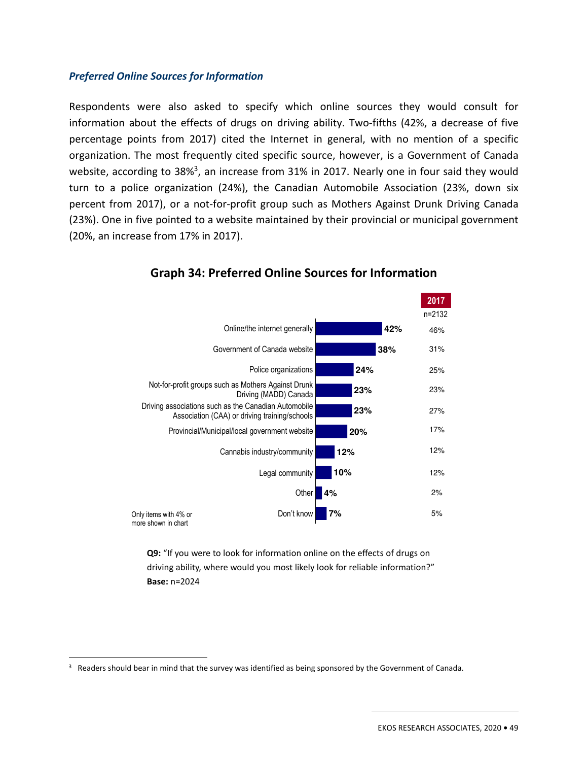#### *Preferred Online Sources for Information*

Respondents were also asked to specify which online sources they would consult for information about the effects of drugs on driving ability. Two-fifths (42%, a decrease of five percentage points from 2017) cited the Internet in general, with no mention of a specific organization. The most frequently cited specific source, however, is a Government of Canada website, according to 38%<sup>3</sup>, an increase from 31% in 2017. Nearly one in four said they would turn to a police organization (24%), the Canadian Automobile Association (23%, down six percent from 2017), or a not-for-profit group such as Mothers Against Drunk Driving Canada (23%). One in five pointed to a website maintained by their provincial or municipal government (20%, an increase from 17% in 2017).



## **Graph 34: Preferred Online Sources for Information**

**Q9:** "If you were to look for information online on the effects of drugs on driving ability, where would you most likely look for reliable information?" **Base:** n=2024

<sup>&</sup>lt;sup>3</sup> Readers should bear in mind that the survey was identified as being sponsored by the Government of Canada.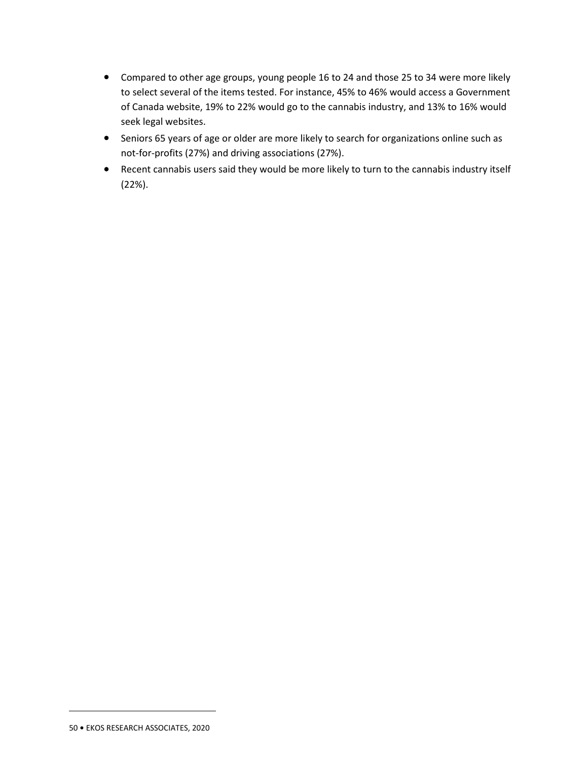- Compared to other age groups, young people 16 to 24 and those 25 to 34 were more likely to select several of the items tested. For instance, 45% to 46% would access a Government of Canada website, 19% to 22% would go to the cannabis industry, and 13% to 16% would seek legal websites.
- Seniors 65 years of age or older are more likely to search for organizations online such as not-for-profits (27%) and driving associations (27%).
- Recent cannabis users said they would be more likely to turn to the cannabis industry itself (22%).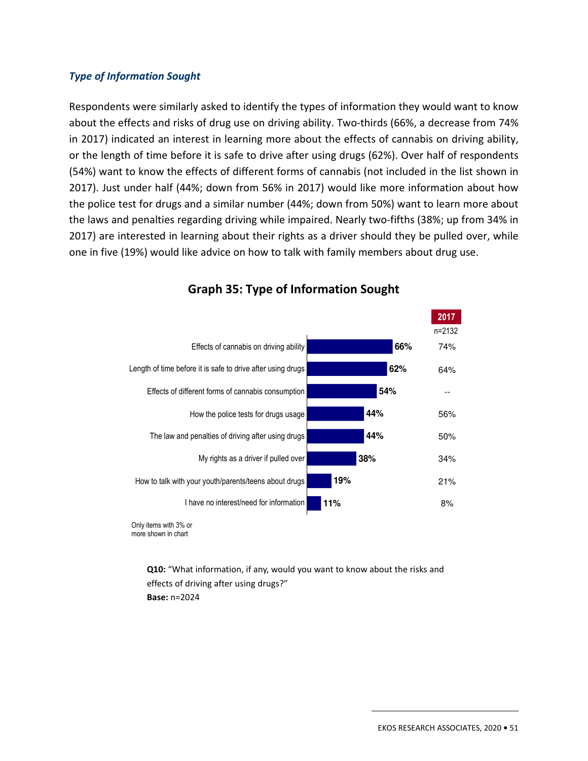#### *Type of Information Sought*

Respondents were similarly asked to identify the types of information they would want to know about the effects and risks of drug use on driving ability. Two-thirds (66%, a decrease from 74% in 2017) indicated an interest in learning more about the effects of cannabis on driving ability, or the length of time before it is safe to drive after using drugs (62%). Over half of respondents (54%) want to know the effects of different forms of cannabis (not included in the list shown in 2017). Just under half (44%; down from 56% in 2017) would like more information about how the police test for drugs and a similar number (44%; down from 50%) want to learn more about the laws and penalties regarding driving while impaired. Nearly two-fifths (38%; up from 34% in 2017) are interested in learning about their rights as a driver should they be pulled over, while one in five (19%) would like advice on how to talk with family members about drug use.



## **Graph 35: Type of Information Sought**

Only items with 3% or more shown in chart

> **Q10:** "What information, if any, would you want to know about the risks and effects of driving after using drugs?" **Base:** n=2024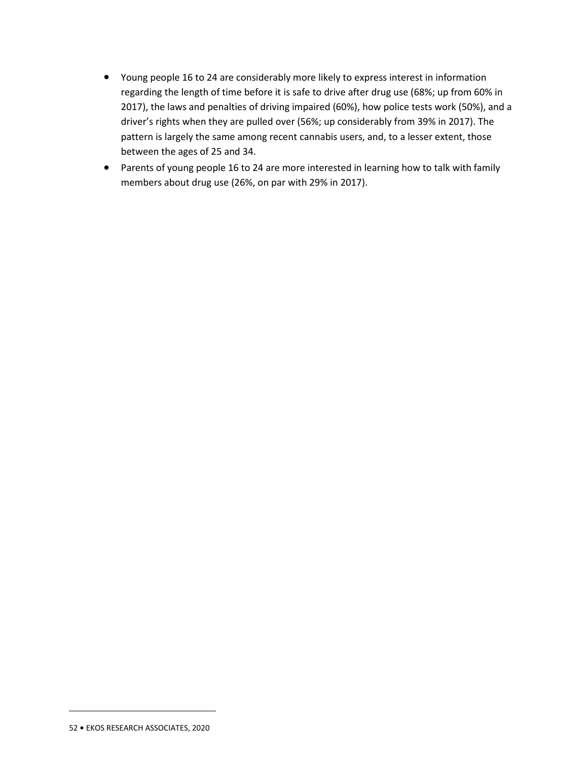- Young people 16 to 24 are considerably more likely to express interest in information regarding the length of time before it is safe to drive after drug use (68%; up from 60% in 2017), the laws and penalties of driving impaired (60%), how police tests work (50%), and a driver's rights when they are pulled over (56%; up considerably from 39% in 2017). The pattern is largely the same among recent cannabis users, and, to a lesser extent, those between the ages of 25 and 34.
- Parents of young people 16 to 24 are more interested in learning how to talk with family members about drug use (26%, on par with 29% in 2017).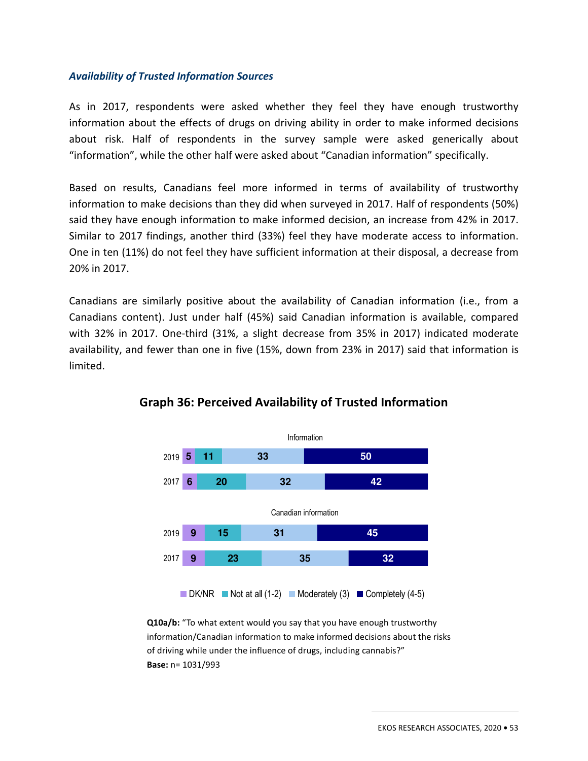#### *Availability of Trusted Information Sources*

As in 2017, respondents were asked whether they feel they have enough trustworthy information about the effects of drugs on driving ability in order to make informed decisions about risk. Half of respondents in the survey sample were asked generically about "information", while the other half were asked about "Canadian information" specifically.

Based on results, Canadians feel more informed in terms of availability of trustworthy information to make decisions than they did when surveyed in 2017. Half of respondents (50%) said they have enough information to make informed decision, an increase from 42% in 2017. Similar to 2017 findings, another third (33%) feel they have moderate access to information. One in ten (11%) do not feel they have sufficient information at their disposal, a decrease from 20% in 2017.

Canadians are similarly positive about the availability of Canadian information (i.e., from a Canadians content). Just under half (45%) said Canadian information is available, compared with 32% in 2017. One-third (31%, a slight decrease from 35% in 2017) indicated moderate availability, and fewer than one in five (15%, down from 23% in 2017) said that information is limited.



## **Graph 36: Perceived Availability of Trusted Information**

**Q10a/b:** "To what extent would you say that you have enough trustworthy information/Canadian information to make informed decisions about the risks of driving while under the influence of drugs, including cannabis?" **Base:** n= 1031/993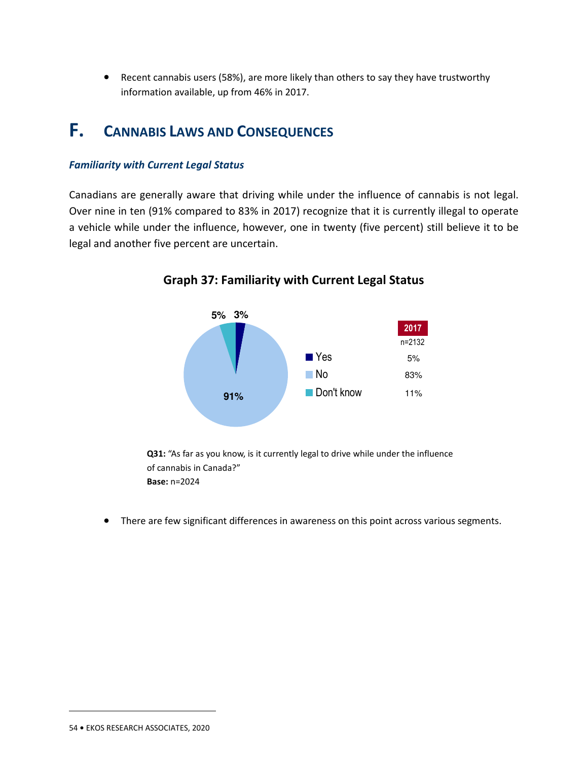• Recent cannabis users (58%), are more likely than others to say they have trustworthy information available, up from 46% in 2017.

## **F. CANNABIS LAWS AND CONSEQUENCES**

#### *Familiarity with Current Legal Status*

Canadians are generally aware that driving while under the influence of cannabis is not legal. Over nine in ten (91% compared to 83% in 2017) recognize that it is currently illegal to operate a vehicle while under the influence, however, one in twenty (five percent) still believe it to be legal and another five percent are uncertain.



**Graph 37: Familiarity with Current Legal Status** 

**Q31:** "As far as you know, is it currently legal to drive while under the influence of cannabis in Canada?" **Base:** n=2024

• There are few significant differences in awareness on this point across various segments.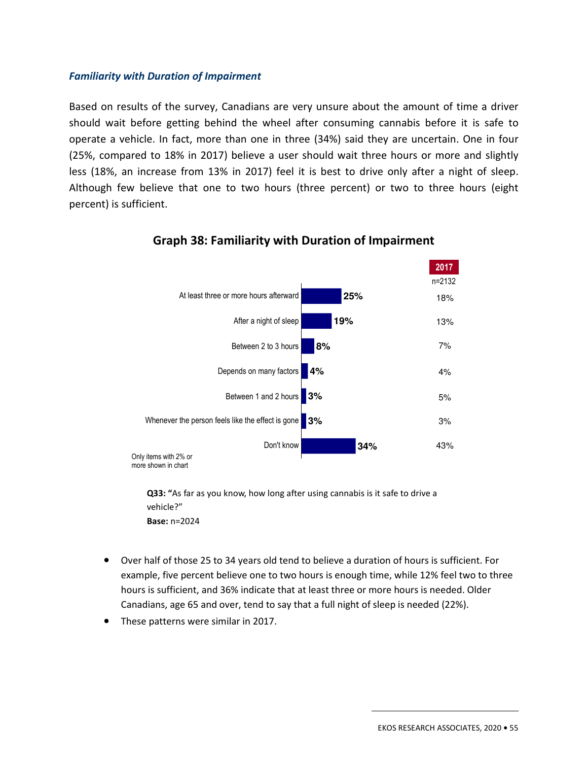#### *Familiarity with Duration of Impairment*

Based on results of the survey, Canadians are very unsure about the amount of time a driver should wait before getting behind the wheel after consuming cannabis before it is safe to operate a vehicle. In fact, more than one in three (34%) said they are uncertain. One in four (25%, compared to 18% in 2017) believe a user should wait three hours or more and slightly less (18%, an increase from 13% in 2017) feel it is best to drive only after a night of sleep. Although few believe that one to two hours (three percent) or two to three hours (eight percent) is sufficient.



## **Graph 38: Familiarity with Duration of Impairment**

**Q33: "**As far as you know, how long after using cannabis is it safe to drive a vehicle?" **Base:** n=2024

- Over half of those 25 to 34 years old tend to believe a duration of hours is sufficient. For example, five percent believe one to two hours is enough time, while 12% feel two to three hours is sufficient, and 36% indicate that at least three or more hours is needed. Older Canadians, age 65 and over, tend to say that a full night of sleep is needed (22%).
- These patterns were similar in 2017.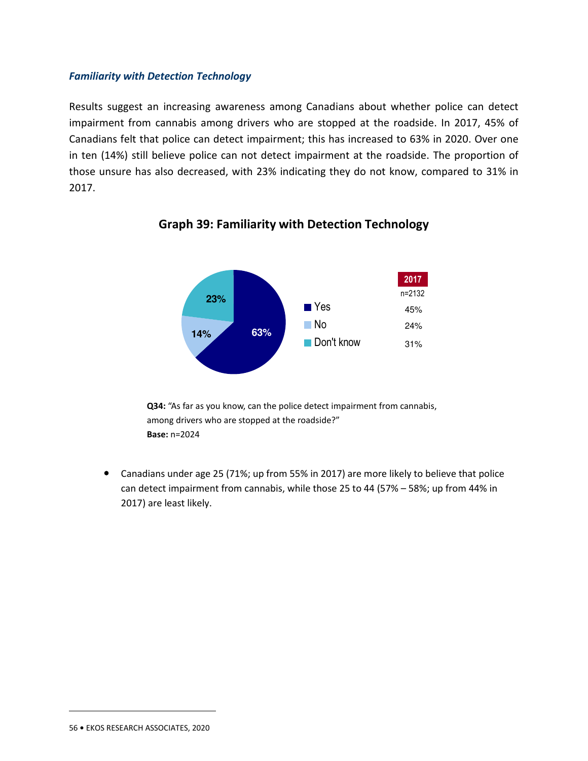#### *Familiarity with Detection Technology*

Results suggest an increasing awareness among Canadians about whether police can detect impairment from cannabis among drivers who are stopped at the roadside. In 2017, 45% of Canadians felt that police can detect impairment; this has increased to 63% in 2020. Over one in ten (14%) still believe police can not detect impairment at the roadside. The proportion of those unsure has also decreased, with 23% indicating they do not know, compared to 31% in 2017.



## **Graph 39: Familiarity with Detection Technology**

**Q34:** "As far as you know, can the police detect impairment from cannabis, among drivers who are stopped at the roadside?" **Base:** n=2024

• Canadians under age 25 (71%; up from 55% in 2017) are more likely to believe that police can detect impairment from cannabis, while those 25 to 44 (57% – 58%; up from 44% in 2017) are least likely.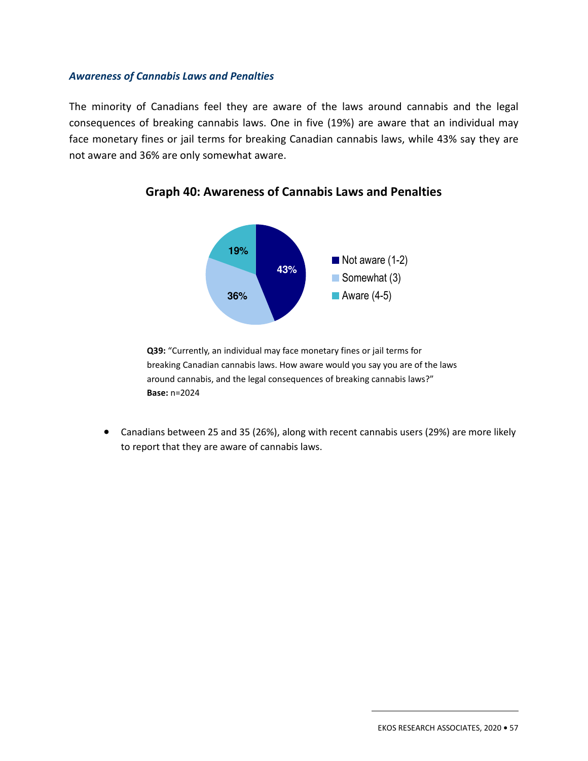#### *Awareness of Cannabis Laws and Penalties*

The minority of Canadians feel they are aware of the laws around cannabis and the legal consequences of breaking cannabis laws. One in five (19%) are aware that an individual may face monetary fines or jail terms for breaking Canadian cannabis laws, while 43% say they are not aware and 36% are only somewhat aware.



**Graph 40: Awareness of Cannabis Laws and Penalties** 

**Q39:** "Currently, an individual may face monetary fines or jail terms for breaking Canadian cannabis laws. How aware would you say you are of the laws around cannabis, and the legal consequences of breaking cannabis laws?" **Base:** n=2024

• Canadians between 25 and 35 (26%), along with recent cannabis users (29%) are more likely to report that they are aware of cannabis laws.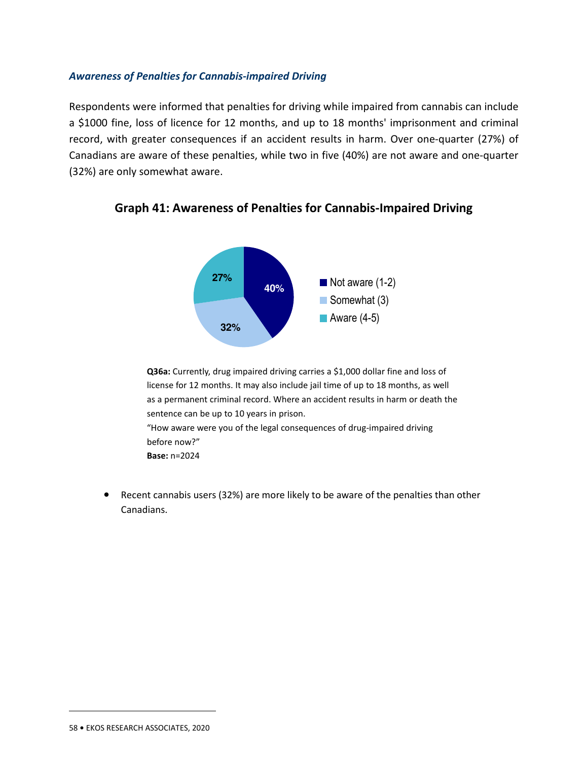#### *Awareness of Penalties for Cannabis-impaired Driving*

Respondents were informed that penalties for driving while impaired from cannabis can include a \$1000 fine, loss of licence for 12 months, and up to 18 months' imprisonment and criminal record, with greater consequences if an accident results in harm. Over one-quarter (27%) of Canadians are aware of these penalties, while two in five (40%) are not aware and one-quarter (32%) are only somewhat aware.



**Graph 41: Awareness of Penalties for Cannabis-Impaired Driving** 

**Q36a:** Currently, drug impaired driving carries a \$1,000 dollar fine and loss of license for 12 months. It may also include jail time of up to 18 months, as well as a permanent criminal record. Where an accident results in harm or death the sentence can be up to 10 years in prison. "How aware were you of the legal consequences of drug-impaired driving before now?" **Base:** n=2024

• Recent cannabis users (32%) are more likely to be aware of the penalties than other Canadians.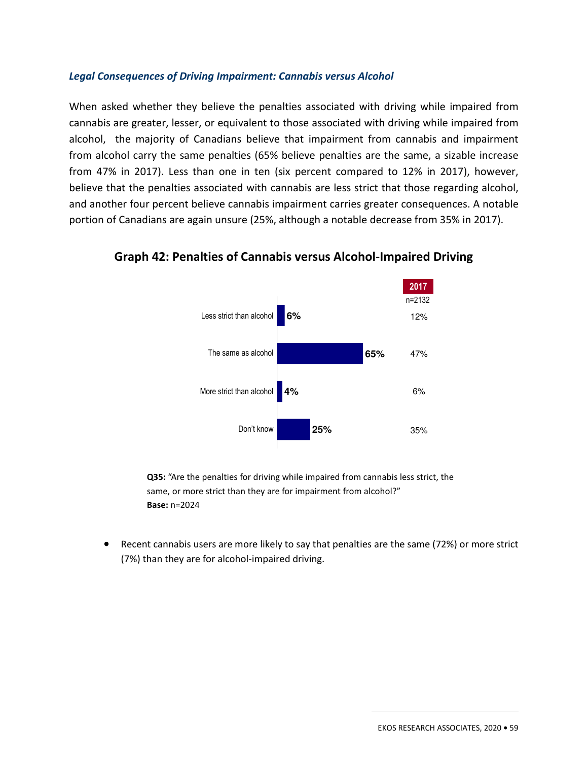#### *Legal Consequences of Driving Impairment: Cannabis versus Alcohol*

When asked whether they believe the penalties associated with driving while impaired from cannabis are greater, lesser, or equivalent to those associated with driving while impaired from alcohol, the majority of Canadians believe that impairment from cannabis and impairment from alcohol carry the same penalties (65% believe penalties are the same, a sizable increase from 47% in 2017). Less than one in ten (six percent compared to 12% in 2017), however, believe that the penalties associated with cannabis are less strict that those regarding alcohol, and another four percent believe cannabis impairment carries greater consequences. A notable portion of Canadians are again unsure (25%, although a notable decrease from 35% in 2017).



**Graph 42: Penalties of Cannabis versus Alcohol-Impaired Driving** 

**Q35:** "Are the penalties for driving while impaired from cannabis less strict, the same, or more strict than they are for impairment from alcohol?" **Base:** n=2024

• Recent cannabis users are more likely to say that penalties are the same (72%) or more strict (7%) than they are for alcohol-impaired driving.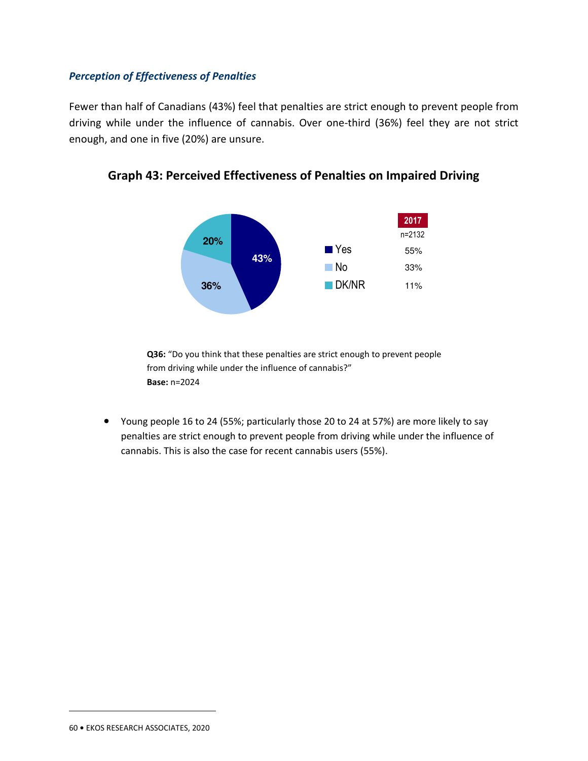#### *Perception of Effectiveness of Penalties*

Fewer than half of Canadians (43%) feel that penalties are strict enough to prevent people from driving while under the influence of cannabis. Over one-third (36%) feel they are not strict enough, and one in five (20%) are unsure.



**Graph 43: Perceived Effectiveness of Penalties on Impaired Driving** 

**Q36:** "Do you think that these penalties are strict enough to prevent people from driving while under the influence of cannabis?" **Base:** n=2024

• Young people 16 to 24 (55%; particularly those 20 to 24 at 57%) are more likely to say penalties are strict enough to prevent people from driving while under the influence of cannabis. This is also the case for recent cannabis users (55%).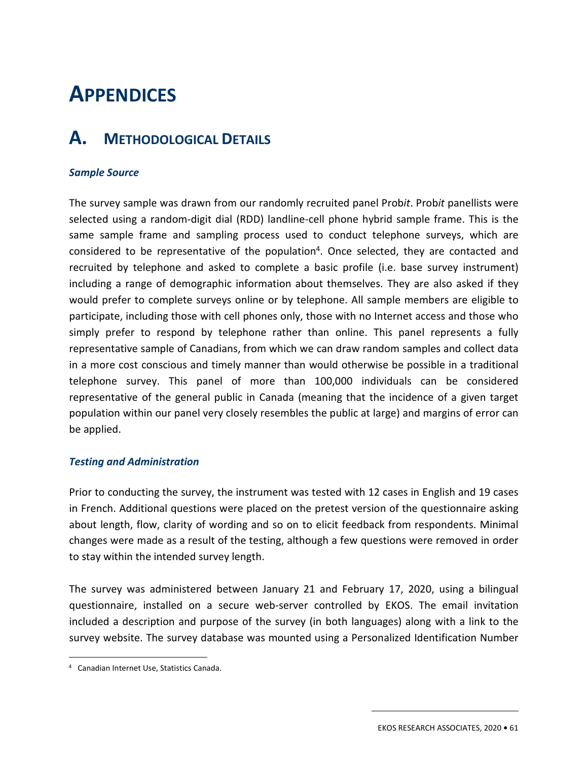# 3. **APPENDICES**

## **A. METHODOLOGICAL DETAILS**

#### *Sample Source*

The survey sample was drawn from our randomly recruited panel Prob*it*. Prob*it* panellists were selected using a random-digit dial (RDD) landline-cell phone hybrid sample frame. This is the same sample frame and sampling process used to conduct telephone surveys, which are considered to be representative of the population<sup>4</sup>. Once selected, they are contacted and recruited by telephone and asked to complete a basic profile (i.e. base survey instrument) including a range of demographic information about themselves. They are also asked if they would prefer to complete surveys online or by telephone. All sample members are eligible to participate, including those with cell phones only, those with no Internet access and those who simply prefer to respond by telephone rather than online. This panel represents a fully representative sample of Canadians, from which we can draw random samples and collect data in a more cost conscious and timely manner than would otherwise be possible in a traditional telephone survey. This panel of more than 100,000 individuals can be considered representative of the general public in Canada (meaning that the incidence of a given target population within our panel very closely resembles the public at large) and margins of error can be applied.

#### *Testing and Administration*

Prior to conducting the survey, the instrument was tested with 12 cases in English and 19 cases in French. Additional questions were placed on the pretest version of the questionnaire asking about length, flow, clarity of wording and so on to elicit feedback from respondents. Minimal changes were made as a result of the testing, although a few questions were removed in order to stay within the intended survey length.

The survey was administered between January 21 and February 17, 2020, using a bilingual questionnaire, installed on a secure web-server controlled by EKOS. The email invitation included a description and purpose of the survey (in both languages) along with a link to the survey website. The survey database was mounted using a Personalized Identification Number

<sup>4</sup> Canadian Internet Use, Statistics Canada.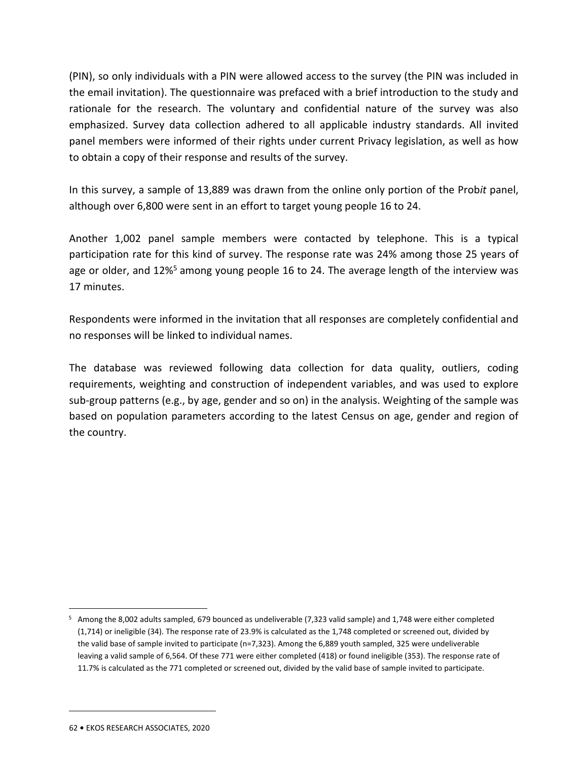(PIN), so only individuals with a PIN were allowed access to the survey (the PIN was included in the email invitation). The questionnaire was prefaced with a brief introduction to the study and rationale for the research. The voluntary and confidential nature of the survey was also emphasized. Survey data collection adhered to all applicable industry standards. All invited panel members were informed of their rights under current Privacy legislation, as well as how to obtain a copy of their response and results of the survey.

In this survey, a sample of 13,889 was drawn from the online only portion of the Prob*it* panel, although over 6,800 were sent in an effort to target young people 16 to 24.

Another 1,002 panel sample members were contacted by telephone. This is a typical participation rate for this kind of survey. The response rate was 24% among those 25 years of age or older, and  $12\%^5$  among young people 16 to 24. The average length of the interview was 17 minutes.

Respondents were informed in the invitation that all responses are completely confidential and no responses will be linked to individual names.

The database was reviewed following data collection for data quality, outliers, coding requirements, weighting and construction of independent variables, and was used to explore sub-group patterns (e.g., by age, gender and so on) in the analysis. Weighting of the sample was based on population parameters according to the latest Census on age, gender and region of the country.

<sup>&</sup>lt;sup>5</sup> Among the 8,002 adults sampled, 679 bounced as undeliverable (7,323 valid sample) and 1,748 were either completed (1,714) or ineligible (34). The response rate of 23.9% is calculated as the 1,748 completed or screened out, divided by the valid base of sample invited to participate (n=7,323). Among the 6,889 youth sampled, 325 were undeliverable leaving a valid sample of 6,564. Of these 771 were either completed (418) or found ineligible (353). The response rate of 11.7% is calculated as the 771 completed or screened out, divided by the valid base of sample invited to participate.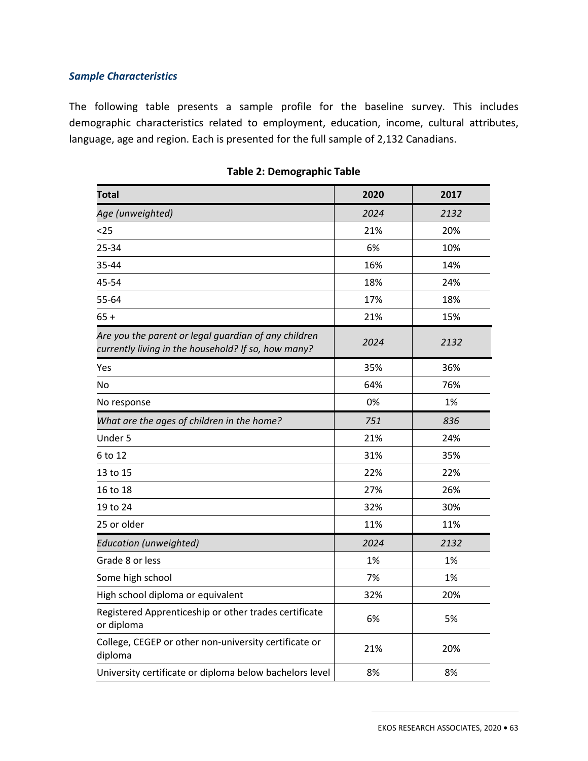### *Sample Characteristics*

The following table presents a sample profile for the baseline survey. This includes demographic characteristics related to employment, education, income, cultural attributes, language, age and region. Each is presented for the full sample of 2,132 Canadians.

| <b>Total</b>                                                                                                | 2020 | 2017 |
|-------------------------------------------------------------------------------------------------------------|------|------|
| Age (unweighted)                                                                                            | 2024 | 2132 |
| $25$                                                                                                        | 21%  | 20%  |
| 25-34                                                                                                       | 6%   | 10%  |
| 35-44                                                                                                       | 16%  | 14%  |
| 45-54                                                                                                       | 18%  | 24%  |
| 55-64                                                                                                       | 17%  | 18%  |
| $65 +$                                                                                                      | 21%  | 15%  |
| Are you the parent or legal guardian of any children<br>currently living in the household? If so, how many? | 2024 | 2132 |
| Yes                                                                                                         | 35%  | 36%  |
| No                                                                                                          | 64%  | 76%  |
| No response                                                                                                 | 0%   | 1%   |
| What are the ages of children in the home?                                                                  | 751  | 836  |
| Under 5                                                                                                     | 21%  | 24%  |
| 6 to 12                                                                                                     | 31%  | 35%  |
| 13 to 15                                                                                                    | 22%  | 22%  |
| 16 to 18                                                                                                    | 27%  | 26%  |
| 19 to 24                                                                                                    | 32%  | 30%  |
| 25 or older                                                                                                 | 11%  | 11%  |
| <b>Education (unweighted)</b>                                                                               | 2024 | 2132 |
| Grade 8 or less                                                                                             | 1%   | 1%   |
| Some high school                                                                                            | 7%   | 1%   |
| High school diploma or equivalent                                                                           | 32%  | 20%  |
| Registered Apprenticeship or other trades certificate<br>or diploma                                         | 6%   | 5%   |
| College, CEGEP or other non-university certificate or<br>diploma                                            | 21%  | 20%  |
| University certificate or diploma below bachelors level                                                     | 8%   | 8%   |

|  |  |  | <b>Table 2: Demographic Table</b> |  |
|--|--|--|-----------------------------------|--|
|--|--|--|-----------------------------------|--|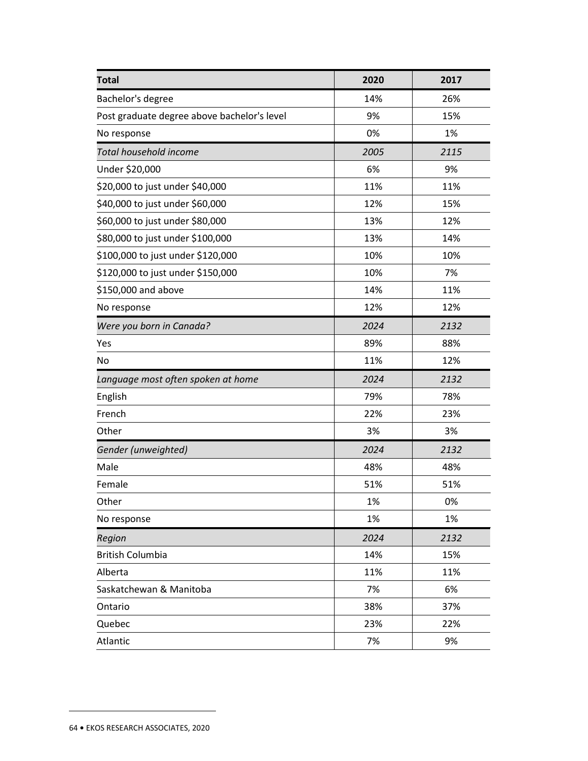| <b>Total</b>                                | 2020 | 2017 |
|---------------------------------------------|------|------|
| Bachelor's degree                           | 14%  | 26%  |
| Post graduate degree above bachelor's level | 9%   | 15%  |
| No response                                 | 0%   | 1%   |
| Total household income                      | 2005 | 2115 |
| Under \$20,000                              | 6%   | 9%   |
| \$20,000 to just under \$40,000             | 11%  | 11%  |
| \$40,000 to just under \$60,000             | 12%  | 15%  |
| \$60,000 to just under \$80,000             | 13%  | 12%  |
| \$80,000 to just under \$100,000            | 13%  | 14%  |
| \$100,000 to just under \$120,000           | 10%  | 10%  |
| \$120,000 to just under \$150,000           | 10%  | 7%   |
| \$150,000 and above                         | 14%  | 11%  |
| No response                                 | 12%  | 12%  |
| Were you born in Canada?                    | 2024 | 2132 |
| Yes                                         | 89%  | 88%  |
| No                                          | 11%  | 12%  |
| Language most often spoken at home          | 2024 | 2132 |
| English                                     | 79%  | 78%  |
| French                                      | 22%  | 23%  |
| Other                                       | 3%   | 3%   |
| Gender (unweighted)                         | 2024 | 2132 |
| Male                                        | 48%  | 48%  |
| Female                                      | 51%  | 51%  |
| Other                                       | 1%   | 0%   |
| No response                                 | 1%   | 1%   |
| Region                                      | 2024 | 2132 |
| <b>British Columbia</b>                     | 14%  | 15%  |
| Alberta                                     | 11%  | 11%  |
| Saskatchewan & Manitoba                     | 7%   | 6%   |
| Ontario                                     | 38%  | 37%  |
| Quebec                                      | 23%  | 22%  |
| Atlantic                                    | 7%   | 9%   |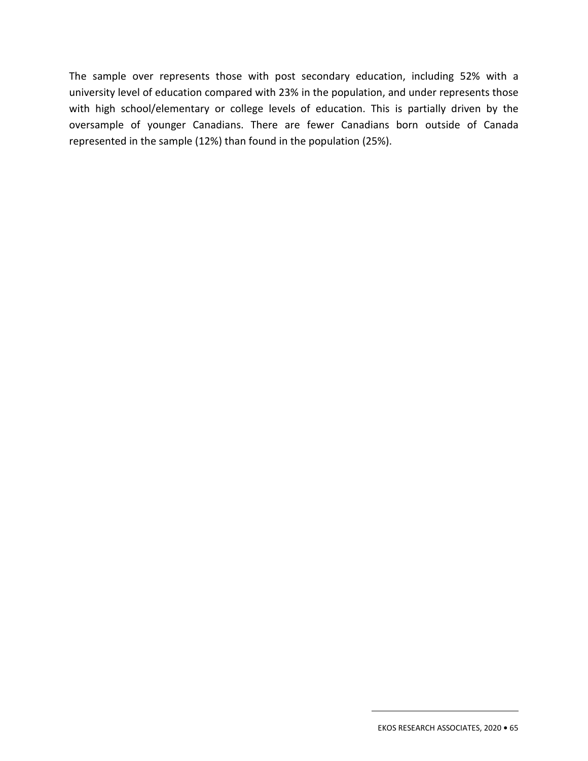The sample over represents those with post secondary education, including 52% with a university level of education compared with 23% in the population, and under represents those with high school/elementary or college levels of education. This is partially driven by the oversample of younger Canadians. There are fewer Canadians born outside of Canada represented in the sample (12%) than found in the population (25%).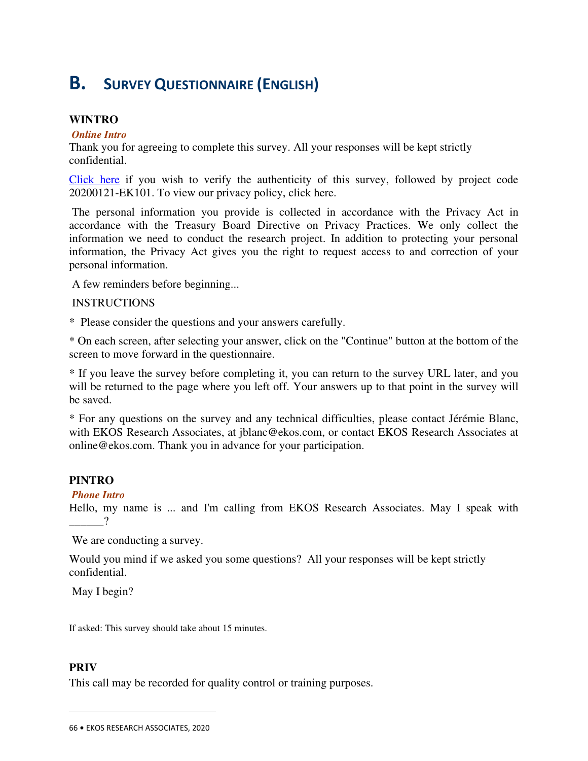## **B. SURVEY QUESTIONNAIRE (ENGLISH)**

#### **WINTRO**

#### *Online Intro*

Thank you for agreeing to complete this survey. All your responses will be kept strictly confidential.

Click here if you wish to verify the authenticity of this survey, followed by project code 20200121-EK101. To view our privacy policy, click here.

 The personal information you provide is collected in accordance with the Privacy Act in accordance with the Treasury Board Directive on Privacy Practices. We only collect the information we need to conduct the research project. In addition to protecting your personal information, the Privacy Act gives you the right to request access to and correction of your personal information.

A few reminders before beginning...

#### INSTRUCTIONS

\* Please consider the questions and your answers carefully.

\* On each screen, after selecting your answer, click on the "Continue" button at the bottom of the screen to move forward in the questionnaire.

\* If you leave the survey before completing it, you can return to the survey URL later, and you will be returned to the page where you left off. Your answers up to that point in the survey will be saved.

\* For any questions on the survey and any technical difficulties, please contact Jérémie Blanc, with EKOS Research Associates, at jblanc@ekos.com, or contact EKOS Research Associates at online@ekos.com. Thank you in advance for your participation.

#### **PINTRO**

#### *Phone Intro*

Hello, my name is ... and I'm calling from EKOS Research Associates. May I speak with  $\overline{2}$ 

We are conducting a survey.

Would you mind if we asked you some questions? All your responses will be kept strictly confidential.

May I begin?

If asked: This survey should take about 15 minutes.

#### **PRIV**

 $\overline{a}$ 

This call may be recorded for quality control or training purposes.

<sup>66</sup> **•** EKOS RESEARCH ASSOCIATES, 2020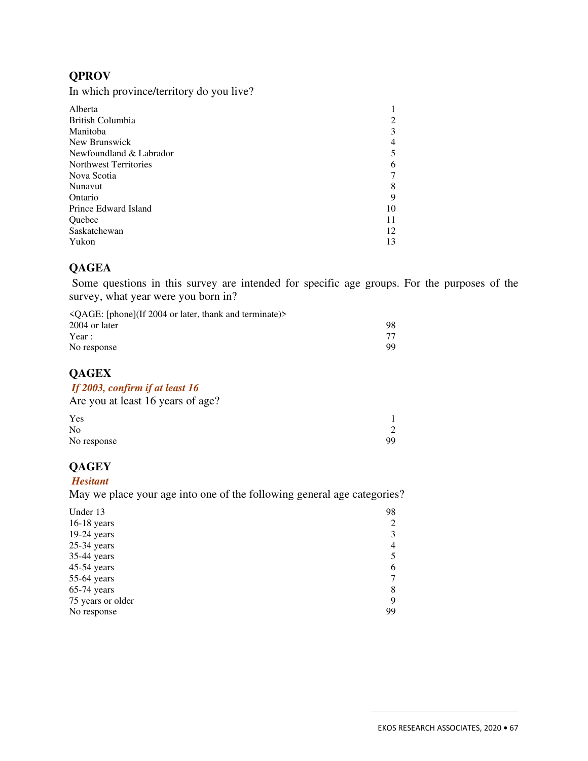## **QPROV**

In which province/territory do you live?

| Alberta                 |    |
|-------------------------|----|
| British Columbia        | 2  |
| Manitoba                | 3  |
| New Brunswick           | 4  |
| Newfoundland & Labrador | 5  |
| Northwest Territories   | 6  |
| Nova Scotia             | 7  |
| Nunavut                 | 8  |
| Ontario                 | 9  |
| Prince Edward Island    | 10 |
| Quebec                  | 11 |
| Saskatchewan            | 12 |
| Yukon                   | 13 |

## **QAGEA**

 Some questions in this survey are intended for specific age groups. For the purposes of the survey, what year were you born in?

| $\triangle$ OAGE: [phone](If 2004 or later, thank and terminate)> |    |
|-------------------------------------------------------------------|----|
| 2004 or later                                                     | 98 |
| Year :                                                            |    |
| No response                                                       | 99 |

### **QAGEX**

#### *If 2003, confirm if at least 16*

Are you at least 16 years of age?

| Yes            |    |
|----------------|----|
| N <sub>o</sub> | 2  |
| No response    | 99 |

## **QAGEY**

#### *Hesitant*

May we place your age into one of the following general age categories?

| Under 13<br>$16-18$ years | 98 |
|---------------------------|----|
| $19-24$ years             |    |
| $25-34$ years             | 4  |
| 35-44 years               |    |
| 45-54 years               | 6  |
| 55-64 years               |    |
| $65-74$ years             | 8  |
| 75 years or older         | 9  |
| No response               | 99 |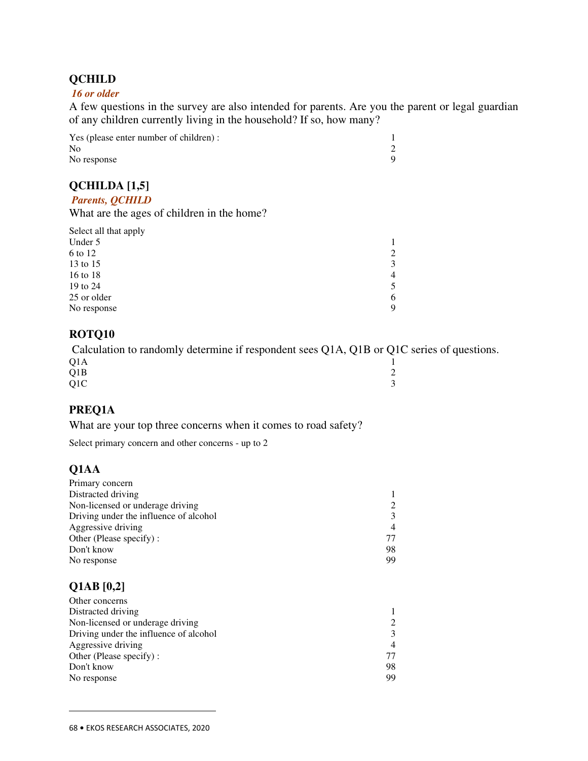## **QCHILD**

#### *16 or older*

A few questions in the survey are also intended for parents. Are you the parent or legal guardian of any children currently living in the household? If so, how many?

Yes (please enter number of children) : 1<br>No 2 No 2 No response 9

## **QCHILDA [1,5]**

#### *Parents, QCHILD*

What are the ages of children in the home?

| Select all that apply |                |
|-----------------------|----------------|
| Under 5               |                |
| 6 to 12               | 2              |
| 13 to 15              | 3              |
| 16 to 18              | $\overline{4}$ |
| 19 to 24              | 5              |
| 25 or older           | 6              |
| No response           | Q              |

#### **ROTQ10**

 Calculation to randomly determine if respondent sees Q1A, Q1B or Q1C series of questions.  $Q1A$  1  $Q1B$  2  $Q1C$  3

### **PREQ1A**

What are your top three concerns when it comes to road safety?

Select primary concern and other concerns - up to 2

### **Q1AA**

| Primary concern                        |    |
|----------------------------------------|----|
| Distracted driving                     |    |
| Non-licensed or underage driving       |    |
| Driving under the influence of alcohol |    |
| Aggressive driving                     | 4  |
| Other (Please specify):                |    |
| Don't know                             | 98 |
| No response                            | 99 |

### **Q1AB [0,2]**

| Other concerns                         |    |
|----------------------------------------|----|
| Distracted driving                     |    |
| Non-licensed or underage driving       |    |
| Driving under the influence of alcohol |    |
| Aggressive driving                     |    |
| Other (Please specify):                | 77 |
| Don't know                             | 98 |
| No response                            | 99 |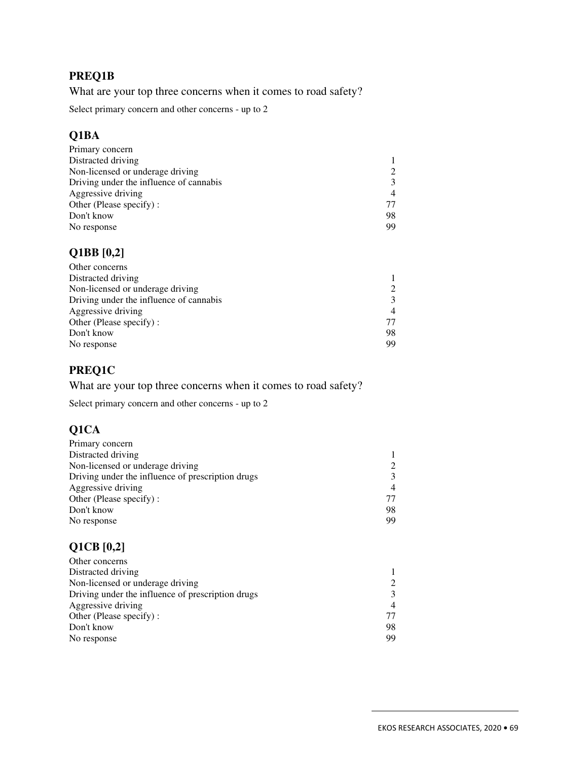## **PREQ1B**

What are your top three concerns when it comes to road safety?

Select primary concern and other concerns - up to 2

## **Q1BA**

| 77 |
|----|
| 98 |
| 99 |
|    |

## **Q1BB [0,2]**

| 98 |
|----|
| 99 |
|    |

## **PREQ1C**

What are your top three concerns when it comes to road safety?

Select primary concern and other concerns - up to 2

## **Q1CA**

| Primary concern                                   |    |
|---------------------------------------------------|----|
| Distracted driving                                |    |
| Non-licensed or underage driving                  |    |
| Driving under the influence of prescription drugs |    |
| Aggressive driving                                |    |
| Other (Please specify):                           | 77 |
| Don't know                                        | 98 |
| No response                                       | 99 |

## **Q1CB [0,2]**

| Other concerns                                    |    |
|---------------------------------------------------|----|
| Distracted driving                                |    |
| Non-licensed or underage driving.                 |    |
| Driving under the influence of prescription drugs |    |
| Aggressive driving                                |    |
| Other (Please specify):                           |    |
| Don't know                                        | 98 |
| No response                                       | 99 |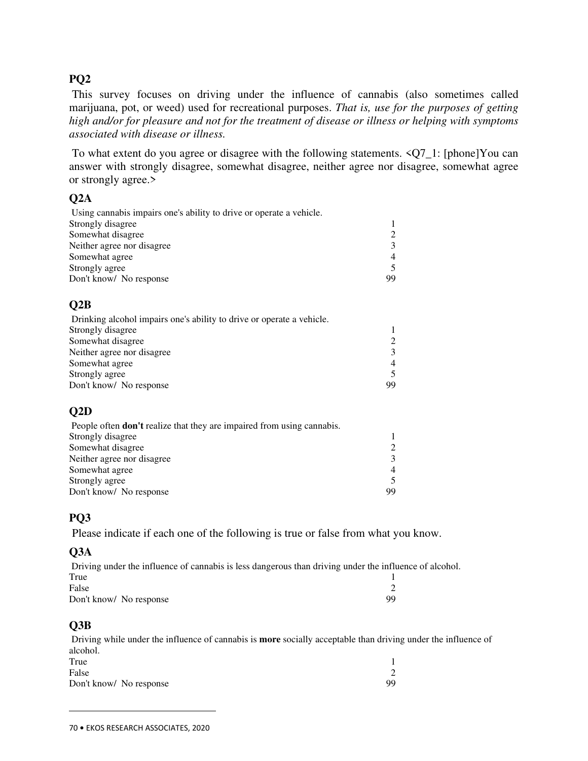## **PQ2**

 This survey focuses on driving under the influence of cannabis (also sometimes called marijuana, pot, or weed) used for recreational purposes. *That is, use for the purposes of getting high and/or for pleasure and not for the treatment of disease or illness or helping with symptoms associated with disease or illness.* 

 To what extent do you agree or disagree with the following statements. <Q7\_1: [phone]You can answer with strongly disagree, somewhat disagree, neither agree nor disagree, somewhat agree or strongly agree.>

## **Q2A**

| Using cannabis impairs one's ability to drive or operate a vehicle. |    |
|---------------------------------------------------------------------|----|
| Strongly disagree                                                   |    |
| Somewhat disagree                                                   |    |
| Neither agree nor disagree                                          |    |
| Somewhat agree                                                      |    |
| Strongly agree                                                      |    |
| Don't know/ No response                                             | 99 |

## **Q2B**

| Drinking alcohol impairs one's ability to drive or operate a vehicle. |                |
|-----------------------------------------------------------------------|----------------|
| Strongly disagree                                                     |                |
| Somewhat disagree                                                     |                |
| Neither agree nor disagree                                            |                |
| Somewhat agree                                                        | $\overline{4}$ |
| Strongly agree                                                        |                |
| Don't know/ No response                                               | 99             |

## **Q2D**

| People often <b>don't</b> realize that they are impaired from using cannabis. |                             |
|-------------------------------------------------------------------------------|-----------------------------|
| Strongly disagree                                                             |                             |
| Somewhat disagree                                                             | $\mathcal{D}_{\mathcal{L}}$ |
| Neither agree nor disagree                                                    | 3                           |
| Somewhat agree                                                                | 4                           |
| Strongly agree                                                                |                             |
| Don't know/ No response                                                       | 99                          |

## **PQ3**

Please indicate if each one of the following is true or false from what you know.

### **Q3A**

 Driving under the influence of cannabis is less dangerous than driving under the influence of alcohol. True 1 False 2 Don't know/ No response 99

### **Q3B**

 $\overline{a}$ 

 Driving while under the influence of cannabis is **more** socially acceptable than driving under the influence of alcohol.<br>True True 1 False 2 Don't know/ No response 99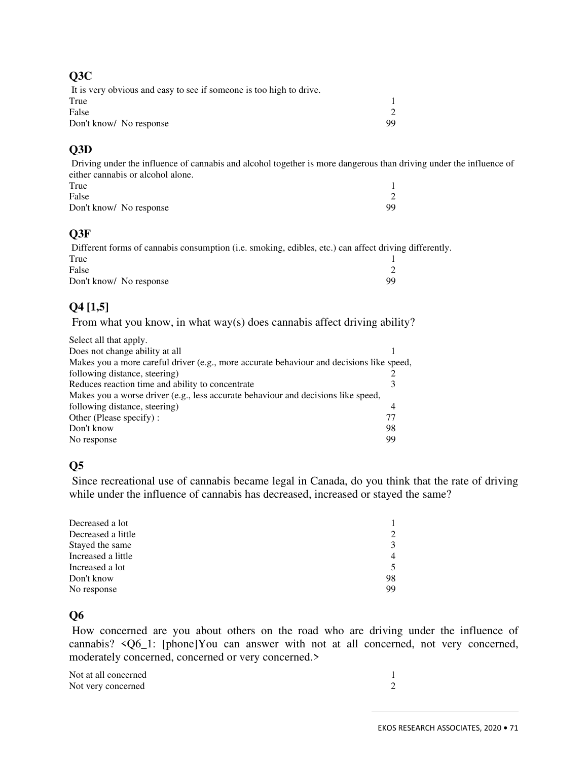#### **Q3C**

| It is very obvious and easy to see if someone is too high to drive. |    |
|---------------------------------------------------------------------|----|
| True                                                                |    |
| False                                                               |    |
| Don't know/ No response                                             | 99 |

## **Q3D**

 Driving under the influence of cannabis and alcohol together is more dangerous than driving under the influence of either cannabis or alcohol alone.

| True                    |    |  |
|-------------------------|----|--|
| False                   |    |  |
| Don't know/ No response | 99 |  |

## **Q3F**

 Different forms of cannabis consumption (i.e. smoking, edibles, etc.) can affect driving differently. True 1 False 2 Don't know/ No response 99

## **Q4 [1,5]**

From what you know, in what way(s) does cannabis affect driving ability?

| Select all that apply.                                                                   |    |
|------------------------------------------------------------------------------------------|----|
| Does not change ability at all                                                           |    |
| Makes you a more careful driver (e.g., more accurate behaviour and decisions like speed, |    |
| following distance, steering)                                                            |    |
| Reduces reaction time and ability to concentrate                                         |    |
| Makes you a worse driver (e.g., less accurate behaviour and decisions like speed,        |    |
| following distance, steering)                                                            | 4  |
| Other (Please specify):                                                                  | 77 |
| Don't know                                                                               | 98 |
| No response                                                                              | 99 |

## **Q5**

 Since recreational use of cannabis became legal in Canada, do you think that the rate of driving while under the influence of cannabis has decreased, increased or stayed the same?

| Decreased a lot    |         |
|--------------------|---------|
| Decreased a little | $2^{1}$ |
| Stayed the same    | 3       |
| Increased a little | 4       |
| Increased a lot    | 5       |
| Don't know         | 98      |
| No response        | 99      |

### **Q6**

 How concerned are you about others on the road who are driving under the influence of cannabis? <Q6\_1: [phone]You can answer with not at all concerned, not very concerned, moderately concerned, concerned or very concerned.>

Not at all concerned 1<br>Not very concerned 2 Not very concerned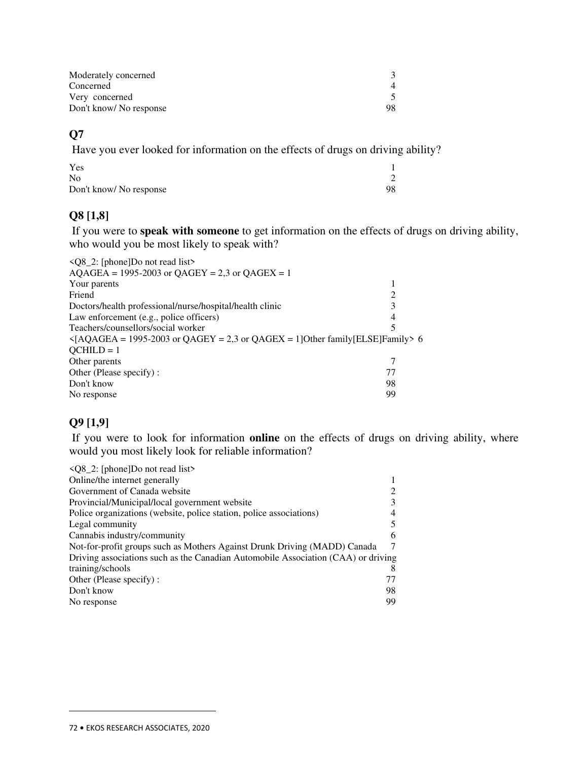| Moderately concerned    |  |
|-------------------------|--|
| Concerned               |  |
| Very concerned          |  |
| Don't know/ No response |  |

## **Q7**

Have you ever looked for information on the effects of drugs on driving ability?

| Yes                    |    |
|------------------------|----|
| N <sub>0</sub>         |    |
| Don't know/No response | 98 |

## **Q8 [1,8]**

 If you were to **speak with someone** to get information on the effects of drugs on driving ability, who would you be most likely to speak with?

| $\langle$ Q8_2: [phone]Do not read list>                                                                  |    |
|-----------------------------------------------------------------------------------------------------------|----|
| $AQAGEA = 1995-2003$ or $QAGEY = 2,3$ or $QAGEX = 1$                                                      |    |
| Your parents                                                                                              |    |
| Friend                                                                                                    | 2  |
| Doctors/health professional/nurse/hospital/health clinic                                                  | 3  |
| Law enforcement (e.g., police officers)                                                                   | 4  |
| Teachers/counsellors/social worker                                                                        |    |
| $\langle AQAGEA = 1995-2003 \text{ or } QAGEY = 2,3 \text{ or } QAGEX = 1]Other family [ELSE] Family > 6$ |    |
| $OCHILD = 1$                                                                                              |    |
| Other parents                                                                                             |    |
| Other (Please specify):                                                                                   | 77 |
| Don't know                                                                                                | 98 |
| No response                                                                                               | 99 |
|                                                                                                           |    |

## **Q9 [1,9]**

 If you were to look for information **online** on the effects of drugs on driving ability, where would you most likely look for reliable information?

| $\langle Q8 \_2$ : [phone]Do not read list>                                       |    |
|-----------------------------------------------------------------------------------|----|
| Online/the internet generally                                                     |    |
| Government of Canada website                                                      |    |
| Provincial/Municipal/local government website                                     |    |
| Police organizations (website, police station, police associations)               |    |
| Legal community                                                                   |    |
| Cannabis industry/community                                                       | 6  |
| Not-for-profit groups such as Mothers Against Drunk Driving (MADD) Canada         |    |
| Driving associations such as the Canadian Automobile Association (CAA) or driving |    |
| training/schools                                                                  |    |
| Other (Please specify):                                                           | 77 |
| Don't know                                                                        | 98 |
| No response                                                                       | 99 |
|                                                                                   |    |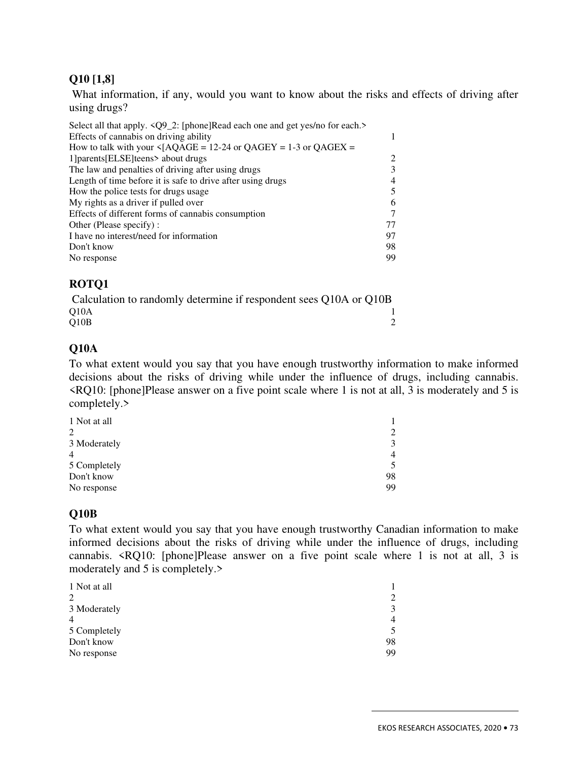# **Q10 [1,8]**

 What information, if any, would you want to know about the risks and effects of driving after using drugs?

| Select all that apply. <q9_2: [phone]read="" and="" each="" each.="" for="" get="" no="" one="" yes=""></q9_2:> |    |
|-----------------------------------------------------------------------------------------------------------------|----|
| Effects of cannabis on driving ability                                                                          | 1  |
| How to talk with your $\triangleleft$ [AQAGE = 12-24 or QAGEY = 1-3 or QAGEX =                                  |    |
| 1] parents [ELSE] teens > about drugs                                                                           | 2  |
| The law and penalties of driving after using drugs                                                              | 3  |
| Length of time before it is safe to drive after using drugs                                                     | 4  |
| How the police tests for drugs usage                                                                            | 5  |
| My rights as a driver if pulled over                                                                            | 6  |
| Effects of different forms of cannabis consumption                                                              | 7  |
| Other (Please specify):                                                                                         | 77 |
| I have no interest/need for information                                                                         | 97 |
| Don't know                                                                                                      | 98 |
| No response                                                                                                     | 99 |
|                                                                                                                 |    |

# **ROTQ1**

Calculation to randomly determine if respondent sees Q10A or Q10B<br>010A  $Q10A$  1  $Q10B$  2

# **Q10A**

To what extent would you say that you have enough trustworthy information to make informed decisions about the risks of driving while under the influence of drugs, including cannabis. <RQ10: [phone]Please answer on a five point scale where 1 is not at all, 3 is moderately and 5 is completely.>

| 1 Not at all   |    |
|----------------|----|
| $\overline{2}$ | 2  |
| 3 Moderately   | 3  |
| $\overline{4}$ | 4  |
| 5 Completely   | 5  |
| Don't know     | 98 |
| No response    | 99 |

# **Q10B**

To what extent would you say that you have enough trustworthy Canadian information to make informed decisions about the risks of driving while under the influence of drugs, including cannabis. <RQ10: [phone]Please answer on a five point scale where 1 is not at all, 3 is moderately and 5 is completely.>

| 1 Not at all   |    |
|----------------|----|
| 2              | 2  |
| 3 Moderately   | 3  |
| $\overline{4}$ | 4  |
| 5 Completely   | 5  |
| Don't know     | 98 |
| No response    | 99 |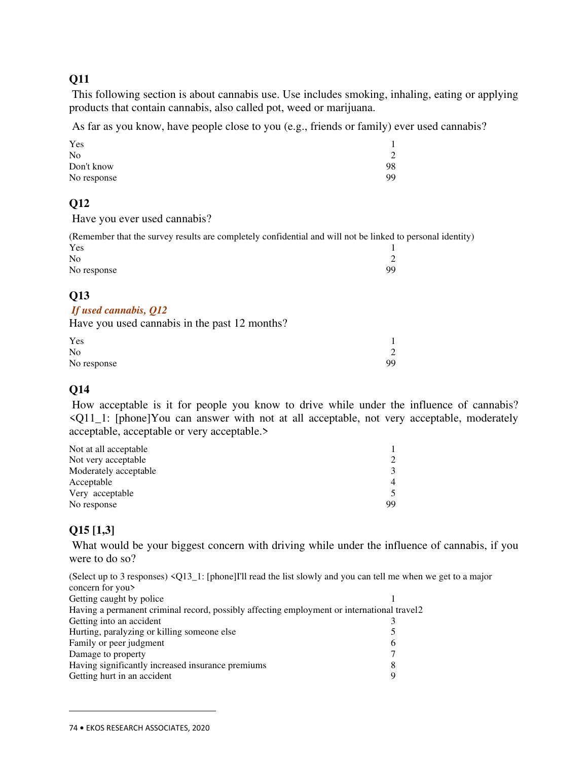This following section is about cannabis use. Use includes smoking, inhaling, eating or applying products that contain cannabis, also called pot, weed or marijuana.

As far as you know, have people close to you (e.g., friends or family) ever used cannabis?

| Yes            |    |
|----------------|----|
| N <sub>0</sub> |    |
| Don't know     | 98 |
| No response    | 99 |

# **Q12**

Have you ever used cannabis?

(Remember that the survey results are completely confidential and will not be linked to personal identity)  $Yes$  1  $N<sub>0</sub>$  2

# No response 99

# **Q13**

#### *If used cannabis, Q12*

Have you used cannabis in the past 12 months?

| Yes            |    |
|----------------|----|
| N <sub>o</sub> | ◠  |
| No response    | 99 |

# **Q14**

 How acceptable is it for people you know to drive while under the influence of cannabis? <Q11\_1: [phone]You can answer with not at all acceptable, not very acceptable, moderately acceptable, acceptable or very acceptable.>

| Not at all acceptable |                             |
|-----------------------|-----------------------------|
| Not very acceptable   | $\mathcal{D}_{\mathcal{L}}$ |
| Moderately acceptable | 3                           |
| Acceptable            | 4                           |
| Very acceptable       |                             |
| No response           | 99                          |

# **Q15 [1,3]**

 $\overline{a}$ 

What would be your biggest concern with driving while under the influence of cannabis, if you were to do so?

(Select up to 3 responses) <Q13\_1: [phone]I'll read the list slowly and you can tell me when we get to a major concern for you>

| Getting caught by police                                                                   |   |
|--------------------------------------------------------------------------------------------|---|
| Having a permanent criminal record, possibly affecting employment or international travel2 |   |
| Getting into an accident                                                                   |   |
| Hurting, paralyzing or killing someone else                                                |   |
| Family or peer judgment                                                                    | 6 |
| Damage to property                                                                         |   |
| Having significantly increased insurance premiums                                          | 8 |
| Getting hurt in an accident                                                                | a |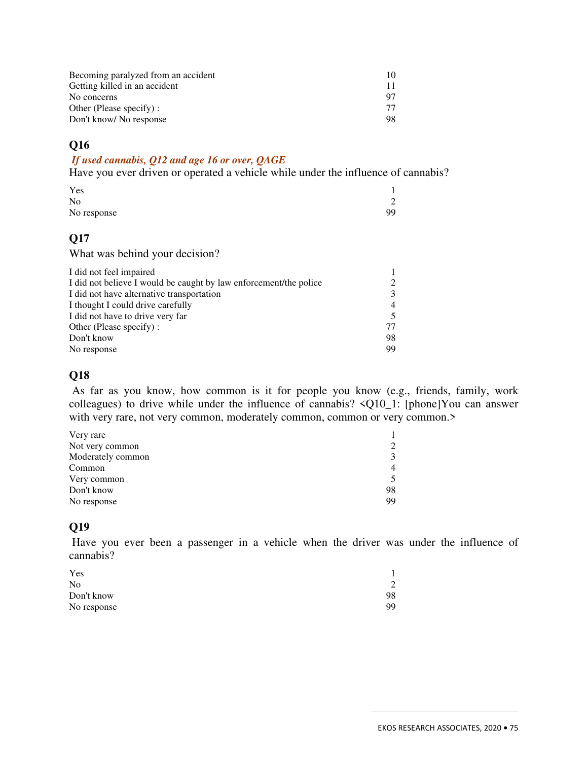| Becoming paralyzed from an accident | 10  |
|-------------------------------------|-----|
| Getting killed in an accident       |     |
| No concerns                         |     |
| Other (Please specify) :            | 77. |
| Don't know/ No response             | 98. |

#### *If used cannabis, Q12 and age 16 or over, QAGE*

Have you ever driven or operated a vehicle while under the influence of cannabis?

| Yes         |    |
|-------------|----|
| No          | ∠  |
| No response | 99 |

# **Q17**

What was behind your decision?

| $\mathcal{L}$ |
|---------------|
| 3             |
| 4             |
| 5             |
| 77            |
| 98            |
| 99            |
|               |

# **Q18**

 As far as you know, how common is it for people you know (e.g., friends, family, work colleagues) to drive while under the influence of cannabis? <Q10\_1: [phone]You can answer with very rare, not very common, moderately common, common or very common.>

| Very rare         |    |
|-------------------|----|
| Not very common   | 2  |
| Moderately common | 3  |
| Common            | 4  |
| Very common       | 5  |
| Don't know        | 98 |
| No response       | 99 |

# **Q19**

 Have you ever been a passenger in a vehicle when the driver was under the influence of cannabis?

| Yes            |    |
|----------------|----|
| N <sub>0</sub> | 2  |
| Don't know     | 98 |
| No response    | 99 |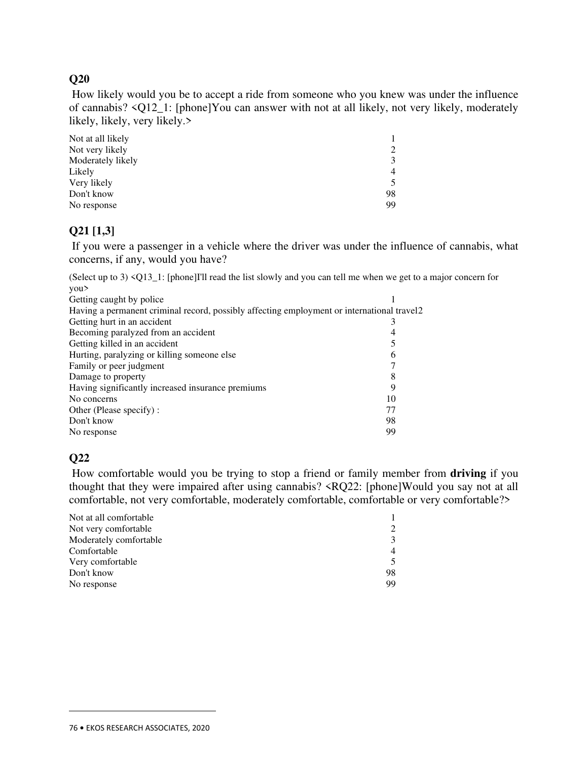How likely would you be to accept a ride from someone who you knew was under the influence of cannabis? <Q12\_1: [phone]You can answer with not at all likely, not very likely, moderately likely, likely, very likely.>

| Not at all likely |    |
|-------------------|----|
| Not very likely   | 2  |
| Moderately likely | 3  |
| Likely            | 4  |
| Very likely       | 5  |
| Don't know        | 98 |
| No response       | 99 |

# **Q21 [1,3]**

 If you were a passenger in a vehicle where the driver was under the influence of cannabis, what concerns, if any, would you have?

(Select up to 3) <Q13\_1: [phone]I'll read the list slowly and you can tell me when we get to a major concern for you>

| Getting caught by police                                                                    |    |
|---------------------------------------------------------------------------------------------|----|
| Having a permanent criminal record, possibly affecting employment or international travel 2 |    |
| Getting hurt in an accident                                                                 |    |
| Becoming paralyzed from an accident                                                         | 4  |
| Getting killed in an accident                                                               |    |
| Hurting, paralyzing or killing someone else                                                 | 6  |
| Family or peer judgment                                                                     |    |
| Damage to property                                                                          | 8  |
| Having significantly increased insurance premiums                                           | 9  |
| No concerns                                                                                 | 10 |
| Other (Please specify):                                                                     | 77 |
| Don't know                                                                                  | 98 |
| No response                                                                                 | 99 |
|                                                                                             |    |

# **Q22**

 $\overline{a}$ 

 How comfortable would you be trying to stop a friend or family member from **driving** if you thought that they were impaired after using cannabis? <RQ22: [phone]Would you say not at all comfortable, not very comfortable, moderately comfortable, comfortable or very comfortable?>

| Not at all comfortable |    |
|------------------------|----|
| Not very comfortable   | 2  |
| Moderately comfortable | 3  |
| Comfortable            | 4  |
| Very comfortable       | 5  |
| Don't know             | 98 |
| No response            | 99 |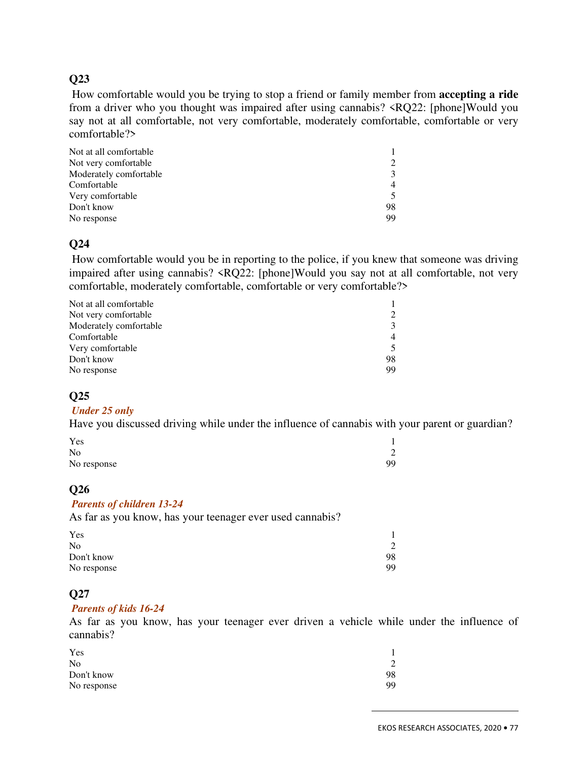How comfortable would you be trying to stop a friend or family member from **accepting a ride** from a driver who you thought was impaired after using cannabis? <RQ22: [phone]Would you say not at all comfortable, not very comfortable, moderately comfortable, comfortable or very comfortable?>

| Not at all comfortable |    |
|------------------------|----|
| Not very comfortable   | 2  |
| Moderately comfortable | 3  |
| Comfortable            | 4  |
| Very comfortable       | 5  |
| Don't know             | 98 |
| No response            | 99 |

## **Q24**

 How comfortable would you be in reporting to the police, if you knew that someone was driving impaired after using cannabis? <RQ22: [phone]Would you say not at all comfortable, not very comfortable, moderately comfortable, comfortable or very comfortable?>

| 2  |
|----|
| 3  |
| 4  |
| 5  |
| 98 |
| 99 |
|    |

#### **Q25**

#### *Under 25 only*

Have you discussed driving while under the influence of cannabis with your parent or guardian?

| Yes         |    |
|-------------|----|
| No          |    |
| No response | 99 |

#### **Q26**

#### *Parents of children 13-24*

As far as you know, has your teenager ever used cannabis?

| Yes            |    |
|----------------|----|
| N <sub>0</sub> |    |
| Don't know     | 98 |
| No response    | 99 |

#### **Q27**

#### *Parents of kids 16-24*

As far as you know, has your teenager ever driven a vehicle while under the influence of cannabis?

| Yes         |    |
|-------------|----|
| No          |    |
| Don't know  | 98 |
| No response | 99 |
|             |    |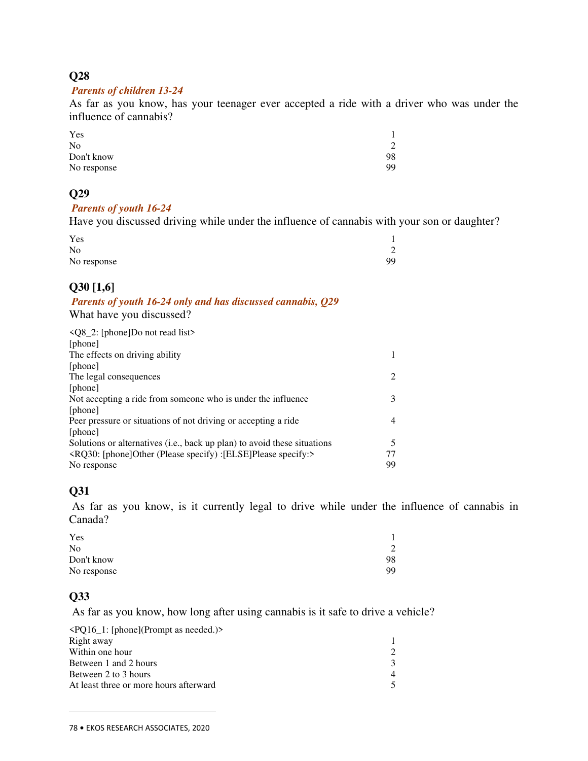#### *Parents of children 13-24*

As far as you know, has your teenager ever accepted a ride with a driver who was under the influence of cannabis?

| Yes         |    |
|-------------|----|
| No          | 2  |
| Don't know  | 98 |
| No response | 99 |

# **Q29**

#### *Parents of youth 16-24*

Have you discussed driving while under the influence of cannabis with your son or daughter?

| Yes            |                |
|----------------|----------------|
| N <sub>0</sub> | $\overline{2}$ |
| No response    | QQ             |

# **Q30 [1,6]**

#### *Parents of youth 16-24 only and has discussed cannabis, Q29*  What have you discussed?

| $\langle Q8 \_2$ : [phone]Do not read list>                              |    |
|--------------------------------------------------------------------------|----|
| [phone]                                                                  |    |
| The effects on driving ability                                           | 1  |
| [phone]                                                                  |    |
| The legal consequences                                                   | 2  |
| [phone]                                                                  |    |
| Not accepting a ride from someone who is under the influence             | 3  |
| [phone]                                                                  |    |
| Peer pressure or situations of not driving or accepting a ride           | 4  |
| [phone]                                                                  |    |
| Solutions or alternatives (i.e., back up plan) to avoid these situations | 5  |
| $\langle RQ30:  $ phone Other (Please specify) : [ELSE] Please specify:  | 77 |
| No response                                                              | 99 |

# **Q31**

 As far as you know, is it currently legal to drive while under the influence of cannabis in Canada?

| Yes            |    |
|----------------|----|
| N <sub>0</sub> | 2  |
| Don't know     | 98 |
| No response    | 99 |

#### **Q33**

 $\overline{a}$ 

As far as you know, how long after using cannabis is it safe to drive a vehicle?

| $\langle PQ16_1:$ [phone](Prompt as needed.)> |  |
|-----------------------------------------------|--|
| Right away                                    |  |
| Within one hour                               |  |
| Between 1 and 2 hours                         |  |
| Between 2 to 3 hours                          |  |
| At least three or more hours afterward        |  |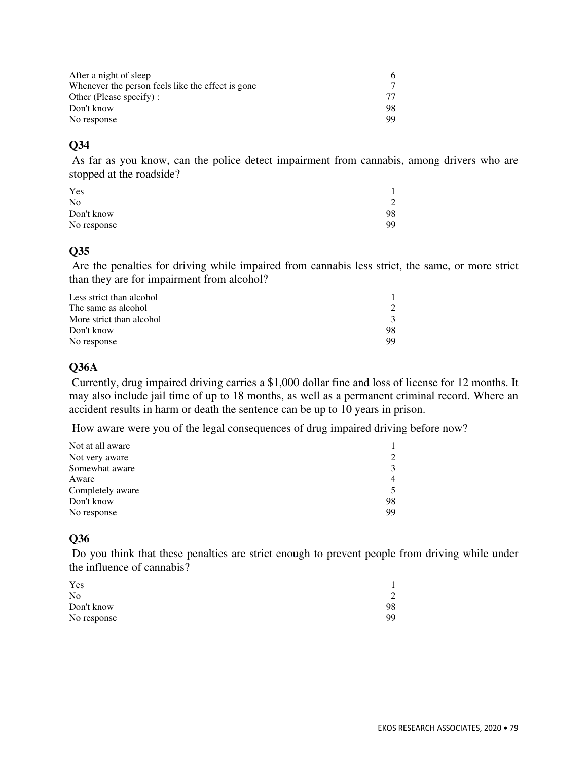| After a night of sleep                            | 6.  |
|---------------------------------------------------|-----|
| Whenever the person feels like the effect is gone |     |
| Other (Please specify):                           |     |
| Don't know                                        | 98. |
| No response                                       | 99. |

 As far as you know, can the police detect impairment from cannabis, among drivers who are stopped at the roadside?

| Yes            |    |
|----------------|----|
| N <sub>0</sub> |    |
| Don't know     | 98 |
| No response    | 99 |

#### **Q35**

 Are the penalties for driving while impaired from cannabis less strict, the same, or more strict than they are for impairment from alcohol?

| Less strict than alcohol |               |
|--------------------------|---------------|
| The same as alcohol      |               |
| More strict than alcohol | $\mathcal{L}$ |
| Don't know               | 98            |
| No response              | 99            |

#### **Q36A**

 Currently, drug impaired driving carries a \$1,000 dollar fine and loss of license for 12 months. It may also include jail time of up to 18 months, as well as a permanent criminal record. Where an accident results in harm or death the sentence can be up to 10 years in prison.

How aware were you of the legal consequences of drug impaired driving before now?

| Not at all aware |    |  |
|------------------|----|--|
| Not very aware   |    |  |
| Somewhat aware   |    |  |
| Aware            |    |  |
| Completely aware |    |  |
| Don't know       | 98 |  |
| No response      | 99 |  |

# **Q36**

 Do you think that these penalties are strict enough to prevent people from driving while under the influence of cannabis?

| Yes            |    |  |
|----------------|----|--|
| N <sub>0</sub> |    |  |
| Don't know     | 98 |  |
| No response    | 99 |  |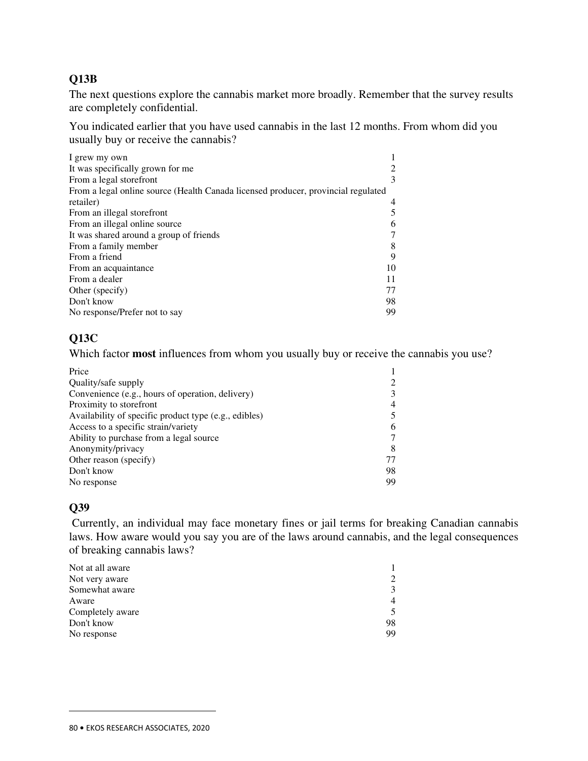# **Q13B**

The next questions explore the cannabis market more broadly. Remember that the survey results are completely confidential.

You indicated earlier that you have used cannabis in the last 12 months. From whom did you usually buy or receive the cannabis?

| I grew my own                                                                     |    |
|-----------------------------------------------------------------------------------|----|
| It was specifically grown for me                                                  |    |
| From a legal storefront                                                           | 3  |
| From a legal online source (Health Canada licensed producer, provincial regulated |    |
| retailer)                                                                         | 4  |
| From an illegal storefront                                                        | 5  |
| From an illegal online source                                                     | 6  |
| It was shared around a group of friends                                           | 7  |
| From a family member                                                              | 8  |
| From a friend                                                                     | 9  |
| From an acquaintance                                                              | 10 |
| From a dealer                                                                     | 11 |
| Other (specify)                                                                   | 77 |
| Don't know                                                                        | 98 |
| No response/Prefer not to say                                                     | 99 |

# **Q13C**

Which factor **most** influences from whom you usually buy or receive the cannabis you use?

| 3  |
|----|
| 4  |
|    |
| 6  |
|    |
| 8  |
|    |
| 98 |
| 99 |
|    |

# **Q39**

 $\overline{a}$ 

 Currently, an individual may face monetary fines or jail terms for breaking Canadian cannabis laws. How aware would you say you are of the laws around cannabis, and the legal consequences of breaking cannabis laws?

| Not at all aware |    |
|------------------|----|
| Not very aware   | 2  |
| Somewhat aware   | 3  |
| Aware            | 4  |
| Completely aware | 5  |
| Don't know       | 98 |
| No response      | 99 |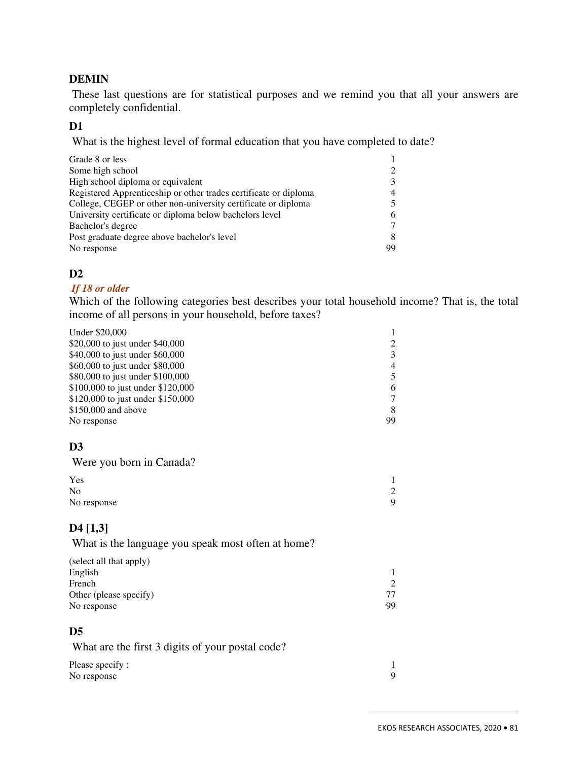#### **DEMIN**

 These last questions are for statistical purposes and we remind you that all your answers are completely confidential.

#### **D1**

What is the highest level of formal education that you have completed to date?

| Grade 8 or less                                                  |    |
|------------------------------------------------------------------|----|
| Some high school                                                 |    |
| High school diploma or equivalent                                |    |
| Registered Apprenticeship or other trades certificate or diploma | 4  |
| College, CEGEP or other non-university certificate or diploma    |    |
| University certificate or diploma below bachelors level          | 6  |
| Bachelor's degree                                                |    |
| Post graduate degree above bachelor's level                      | 8  |
| No response                                                      | 99 |

#### **D2**

#### *If 18 or older*

Which of the following categories best describes your total household income? That is, the total income of all persons in your household, before taxes?

| Under \$20,000                    |    |
|-----------------------------------|----|
| \$20,000 to just under \$40,000   | 2  |
| \$40,000 to just under \$60,000   | 3  |
| \$60,000 to just under \$80,000   | 4  |
| \$80,000 to just under \$100,000  | 5  |
| \$100,000 to just under \$120,000 | 6  |
| \$120,000 to just under \$150,000 |    |
| \$150,000 and above               | 8  |
| No response                       | 99 |

# **D3**

Were you born in Canada?

| ◠ |
|---|
|   |
|   |

#### **D4 [1,3]**

What is the language you speak most often at home?

| (select all that apply) |    |
|-------------------------|----|
| English                 |    |
| French                  |    |
| Other (please specify)  |    |
| No response             | 99 |

#### **D5**

What are the first 3 digits of your postal code?

| Please specify: |  |
|-----------------|--|
| No response     |  |